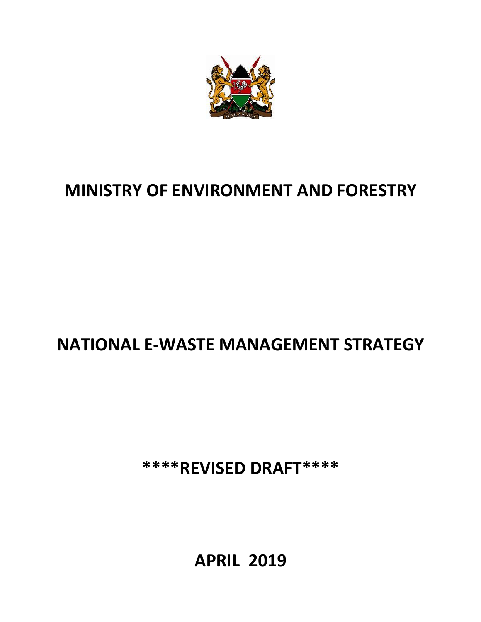

# **MINISTRY OF ENVIRONMENT AND FORESTRY**

# **NATIONAL E-WASTE MANAGEMENT STRATEGY**

**\*\*\*\*REVISED DRAFT\*\*\*\***

**APRIL 2019**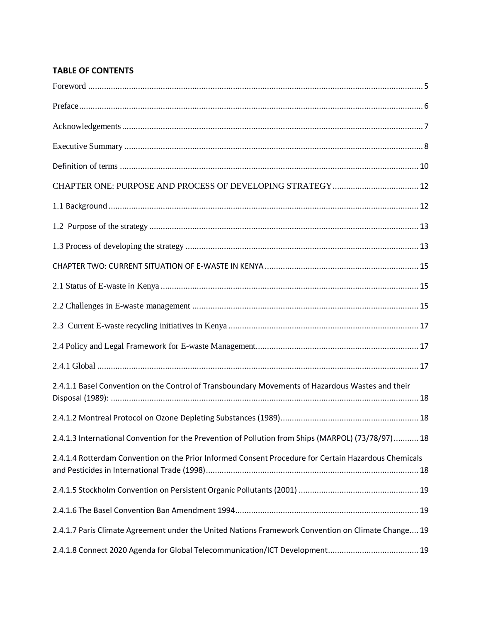## **TABLE OF CONTENTS**

| 2.4.1.1 Basel Convention on the Control of Transboundary Movements of Hazardous Wastes and their     |
|------------------------------------------------------------------------------------------------------|
|                                                                                                      |
| 2.4.1.3 International Convention for the Prevention of Pollution from Ships (MARPOL) (73/78/97) 18   |
| 2.4.1.4 Rotterdam Convention on the Prior Informed Consent Procedure for Certain Hazardous Chemicals |
|                                                                                                      |
|                                                                                                      |
| 2.4.1.7 Paris Climate Agreement under the United Nations Framework Convention on Climate Change 19   |
|                                                                                                      |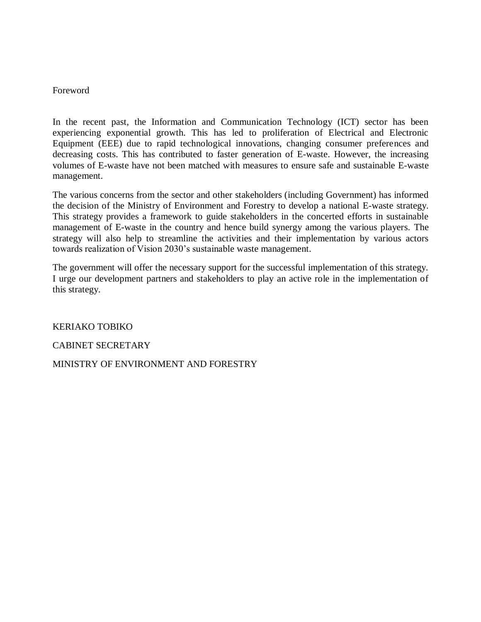#### <span id="page-4-0"></span>Foreword

In the recent past, the Information and Communication Technology (ICT) sector has been experiencing exponential growth. This has led to proliferation of Electrical and Electronic Equipment (EEE) due to rapid technological innovations, changing consumer preferences and decreasing costs. This has contributed to faster generation of E-waste. However, the increasing volumes of E-waste have not been matched with measures to ensure safe and sustainable E-waste management.

The various concerns from the sector and other stakeholders (including Government) has informed the decision of the Ministry of Environment and Forestry to develop a national E-waste strategy. This strategy provides a framework to guide stakeholders in the concerted efforts in sustainable management of E-waste in the country and hence build synergy among the various players. The strategy will also help to streamline the activities and their implementation by various actors towards realization of Vision 2030's sustainable waste management.

The government will offer the necessary support for the successful implementation of this strategy. I urge our development partners and stakeholders to play an active role in the implementation of this strategy.

KERIAKO TOBIKO

CABINET SECRETARY

MINISTRY OF ENVIRONMENT AND FORESTRY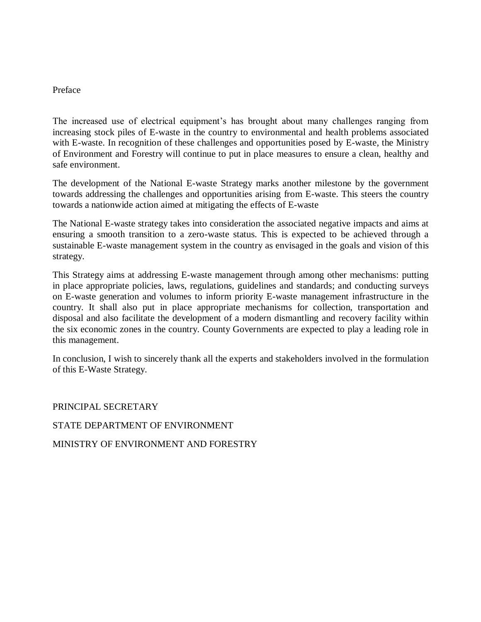#### <span id="page-5-0"></span>Preface

The increased use of electrical equipment's has brought about many challenges ranging from increasing stock piles of E-waste in the country to environmental and health problems associated with E-waste. In recognition of these challenges and opportunities posed by E-waste, the Ministry of Environment and Forestry will continue to put in place measures to ensure a clean, healthy and safe environment.

The development of the National E-waste Strategy marks another milestone by the government towards addressing the challenges and opportunities arising from E-waste. This steers the country towards a nationwide action aimed at mitigating the effects of E-waste

The National E-waste strategy takes into consideration the associated negative impacts and aims at ensuring a smooth transition to a zero-waste status. This is expected to be achieved through a sustainable E-waste management system in the country as envisaged in the goals and vision of this strategy.

This Strategy aims at addressing E-waste management through among other mechanisms: putting in place appropriate policies, laws, regulations, guidelines and standards; and conducting surveys on E-waste generation and volumes to inform priority E-waste management infrastructure in the country. It shall also put in place appropriate mechanisms for collection, transportation and disposal and also facilitate the development of a modern dismantling and recovery facility within the six economic zones in the country. County Governments are expected to play a leading role in this management.

In conclusion, I wish to sincerely thank all the experts and stakeholders involved in the formulation of this E-Waste Strategy.

PRINCIPAL SECRETARY

#### STATE DEPARTMENT OF ENVIRONMENT

MINISTRY OF ENVIRONMENT AND FORESTRY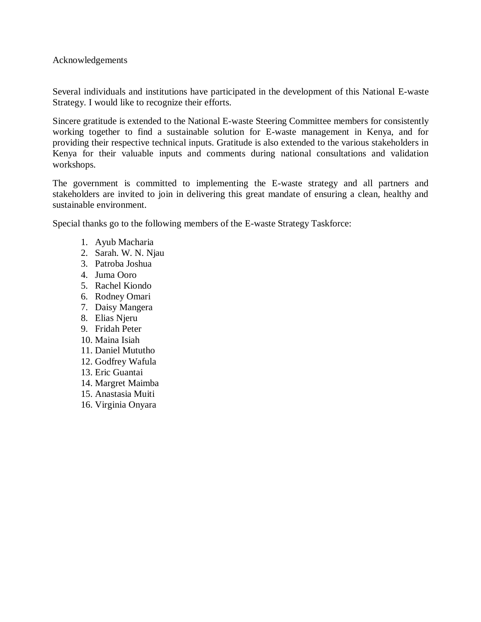<span id="page-6-0"></span>Acknowledgements

Several individuals and institutions have participated in the development of this National E-waste Strategy. I would like to recognize their efforts.

Sincere gratitude is extended to the National E-waste Steering Committee members for consistently working together to find a sustainable solution for E-waste management in Kenya, and for providing their respective technical inputs. Gratitude is also extended to the various stakeholders in Kenya for their valuable inputs and comments during national consultations and validation workshops.

The government is committed to implementing the E-waste strategy and all partners and stakeholders are invited to join in delivering this great mandate of ensuring a clean, healthy and sustainable environment.

Special thanks go to the following members of the E-waste Strategy Taskforce:

- 1. Ayub Macharia
- 2. Sarah. W. N. Njau
- 3. Patroba Joshua
- 4. Juma Ooro
- 5. Rachel Kiondo
- 6. Rodney Omari
- 7. Daisy Mangera
- 8. Elias Njeru
- 9. Fridah Peter
- 10. Maina Isiah
- 11. Daniel Mututho
- 12. Godfrey Wafula
- 13. Eric Guantai
- 14. Margret Maimba
- 15. Anastasia Muiti
- 16. Virginia Onyara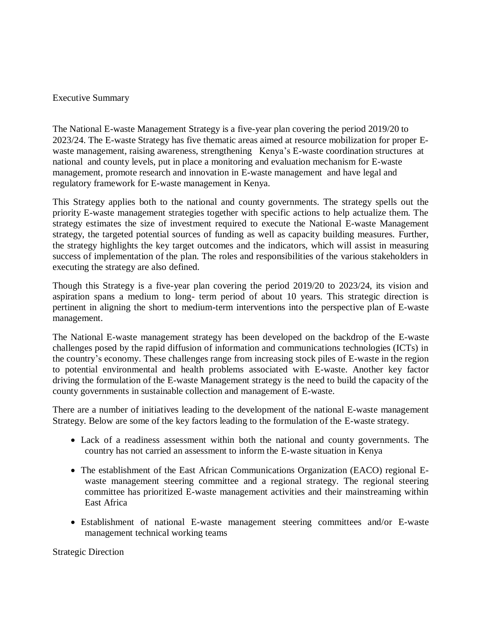#### <span id="page-7-0"></span>Executive Summary

The National E-waste Management Strategy is a five-year plan covering the period 2019/20 to 2023/24. The E-waste Strategy has five thematic areas aimed at resource mobilization for proper Ewaste management, raising awareness, strengthening Kenya's E-waste coordination structures at national and county levels, put in place a monitoring and evaluation mechanism for E-waste management, promote research and innovation in E-waste management and have legal and regulatory framework for E-waste management in Kenya.

This Strategy applies both to the national and county governments. The strategy spells out the priority E-waste management strategies together with specific actions to help actualize them. The strategy estimates the size of investment required to execute the National E-waste Management strategy, the targeted potential sources of funding as well as capacity building measures. Further, the strategy highlights the key target outcomes and the indicators, which will assist in measuring success of implementation of the plan. The roles and responsibilities of the various stakeholders in executing the strategy are also defined.

Though this Strategy is a five-year plan covering the period 2019/20 to 2023/24, its vision and aspiration spans a medium to long- term period of about 10 years. This strategic direction is pertinent in aligning the short to medium-term interventions into the perspective plan of E-waste management.

The National E-waste management strategy has been developed on the backdrop of the E-waste challenges posed by the rapid diffusion of information and communications technologies (ICTs) in the country's economy. These challenges range from increasing stock piles of E-waste in the region to potential environmental and health problems associated with E-waste. Another key factor driving the formulation of the E-waste Management strategy is the need to build the capacity of the county governments in sustainable collection and management of E-waste.

There are a number of initiatives leading to the development of the national E-waste management Strategy. Below are some of the key factors leading to the formulation of the E-waste strategy.

- Lack of a readiness assessment within both the national and county governments. The country has not carried an assessment to inform the E-waste situation in Kenya
- The establishment of the East African Communications Organization (EACO) regional Ewaste management steering committee and a regional strategy. The regional steering committee has prioritized E-waste management activities and their mainstreaming within East Africa
- Establishment of national E-waste management steering committees and/or E-waste management technical working teams

Strategic Direction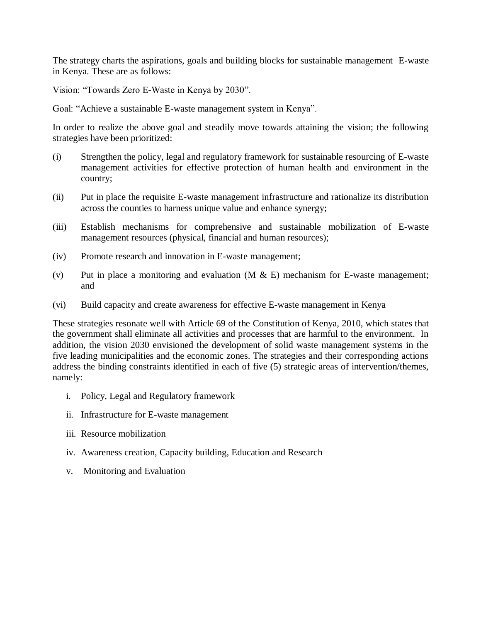The strategy charts the aspirations, goals and building blocks for sustainable management E-waste in Kenya. These are as follows:

Vision: "Towards Zero E-Waste in Kenya by 2030".

Goal: "Achieve a sustainable E-waste management system in Kenya".

In order to realize the above goal and steadily move towards attaining the vision; the following strategies have been prioritized:

- (i) Strengthen the policy, legal and regulatory framework for sustainable resourcing of E-waste management activities for effective protection of human health and environment in the country;
- (ii) Put in place the requisite E-waste management infrastructure and rationalize its distribution across the counties to harness unique value and enhance synergy;
- (iii) Establish mechanisms for comprehensive and sustainable mobilization of E-waste management resources (physical, financial and human resources);
- (iv) Promote research and innovation in E-waste management;
- (v) Put in place a monitoring and evaluation  $(M & E)$  mechanism for E-waste management; and
- (vi) Build capacity and create awareness for effective E-waste management in Kenya

These strategies resonate well with Article 69 of the Constitution of Kenya, 2010, which states that the government shall eliminate all activities and processes that are harmful to the environment. In addition, the vision 2030 envisioned the development of solid waste management systems in the five leading municipalities and the economic zones. The strategies and their corresponding actions address the binding constraints identified in each of five (5) strategic areas of intervention/themes, namely:

- i. Policy, Legal and Regulatory framework
- ii. Infrastructure for E-waste management
- iii. Resource mobilization
- iv. Awareness creation, Capacity building, Education and Research
- v. Monitoring and Evaluation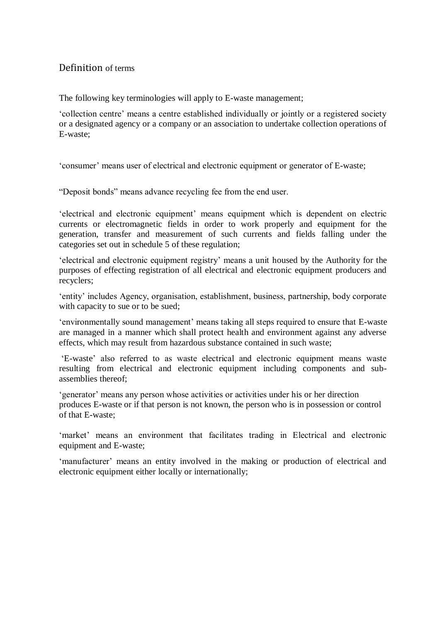## <span id="page-9-0"></span>Definition of terms

The following key terminologies will apply to E-waste management;

'collection centre' means a centre established individually or jointly or a registered society or a designated agency or a company or an association to undertake collection operations of E-waste;

'consumer' means user of electrical and electronic equipment or generator of E-waste;

"Deposit bonds" means advance recycling fee from the end user.

'electrical and electronic equipment' means equipment which is dependent on electric currents or electromagnetic fields in order to work properly and equipment for the generation, transfer and measurement of such currents and fields falling under the categories set out in schedule 5 of these regulation;

'electrical and electronic equipment registry' means a unit housed by the Authority for the purposes of effecting registration of all electrical and electronic equipment producers and recyclers;

'entity' includes Agency, organisation, establishment, business, partnership, body corporate with capacity to sue or to be sued:

'environmentally sound management' means taking all steps required to ensure that E-waste are managed in a manner which shall protect health and environment against any adverse effects, which may result from hazardous substance contained in such waste;

'E-waste' also referred to as waste electrical and electronic equipment means waste resulting from electrical and electronic equipment including components and subassemblies thereof;

'generator' means any person whose activities or activities under his or her direction produces E-waste or if that person is not known, the person who is in possession or control of that E-waste;

'market' means an environment that facilitates trading in Electrical and electronic equipment and E-waste;

'manufacturer' means an entity involved in the making or production of electrical and electronic equipment either locally or internationally;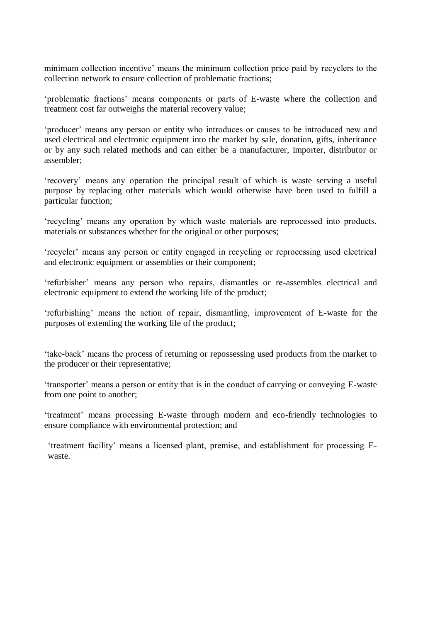minimum collection incentive' means the minimum collection price paid by recyclers to the collection network to ensure collection of problematic fractions;

'problematic fractions' means components or parts of E-waste where the collection and treatment cost far outweighs the material recovery value;

'producer' means any person or entity who introduces or causes to be introduced new and used electrical and electronic equipment into the market by sale, donation, gifts, inheritance or by any such related methods and can either be a manufacturer, importer, distributor or assembler;

'recovery' means any operation the principal result of which is waste serving a useful purpose by replacing other materials which would otherwise have been used to fulfill a particular function;

'recycling' means any operation by which waste materials are reprocessed into products, materials or substances whether for the original or other purposes;

'recycler' means any person or entity engaged in recycling or reprocessing used electrical and electronic equipment or assemblies or their component;

'refurbisher' means any person who repairs, dismantles or re-assembles electrical and electronic equipment to extend the working life of the product;

'refurbishing' means the action of repair, dismantling, improvement of E-waste for the purposes of extending the working life of the product;

'take-back' means the process of returning or repossessing used products from the market to the producer or their representative;

'transporter' means a person or entity that is in the conduct of carrying or conveying E-waste from one point to another;

'treatment' means processing E-waste through modern and eco-friendly technologies to ensure compliance with environmental protection; and

'treatment facility' means a licensed plant, premise, and establishment for processing Ewaste.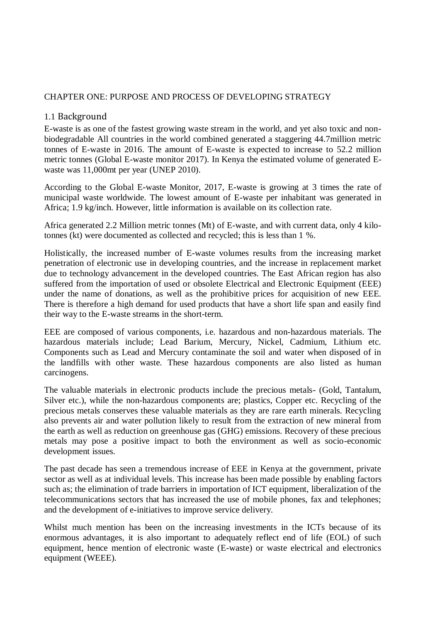#### <span id="page-11-1"></span><span id="page-11-0"></span>CHAPTER ONE: PURPOSE AND PROCESS OF DEVELOPING STRATEGY

#### 1.1 Background

E-waste is as one of the fastest growing waste stream in the world, and yet also toxic and nonbiodegradable All countries in the world combined generated a staggering 44.7million metric tonnes of E-waste in 2016. The amount of E-waste is expected to increase to 52.2 million metric tonnes (Global E-waste monitor 2017). In Kenya the estimated volume of generated Ewaste was 11,000mt per year (UNEP 2010).

According to the Global E-waste Monitor, 2017, E-waste is growing at 3 times the rate of municipal waste worldwide. The lowest amount of E-waste per inhabitant was generated in Africa; 1.9 kg/inch. However, little information is available on its collection rate.

Africa generated 2.2 Million metric tonnes (Mt) of E-waste, and with current data, only 4 kilotonnes (kt) were documented as collected and recycled; this is less than 1 %.

Holistically, the increased number of E-waste volumes results from the increasing market penetration of electronic use in developing countries, and the increase in replacement market due to technology advancement in the developed countries. The East African region has also suffered from the importation of used or obsolete Electrical and Electronic Equipment (EEE) under the name of donations, as well as the prohibitive prices for acquisition of new EEE. There is therefore a high demand for used products that have a short life span and easily find their way to the E-waste streams in the short-term.

EEE are composed of various components, i.e. hazardous and non-hazardous materials. The hazardous materials include; Lead Barium, Mercury, Nickel, Cadmium, Lithium etc. Components such as Lead and Mercury contaminate the soil and water when disposed of in the landfills with other waste. These hazardous components are also listed as human carcinogens.

The valuable materials in electronic products include the precious metals- (Gold, Tantalum, Silver etc.), while the non-hazardous components are; plastics, Copper etc. Recycling of the precious metals conserves these valuable materials as they are rare earth minerals. Recycling also prevents air and water pollution likely to result from the extraction of new mineral from the earth as well as reduction on greenhouse gas (GHG) emissions. Recovery of these precious metals may pose a positive impact to both the environment as well as socio-economic development issues.

The past decade has seen a tremendous increase of EEE in Kenya at the government, private sector as well as at individual levels. This increase has been made possible by enabling factors such as; the elimination of trade barriers in importation of ICT equipment, liberalization of the telecommunications sectors that has increased the use of mobile phones, fax and telephones; and the development of e-initiatives to improve service delivery.

Whilst much mention has been on the increasing investments in the ICTs because of its enormous advantages, it is also important to adequately reflect end of life (EOL) of such equipment, hence mention of electronic waste (E-waste) or waste electrical and electronics equipment (WEEE).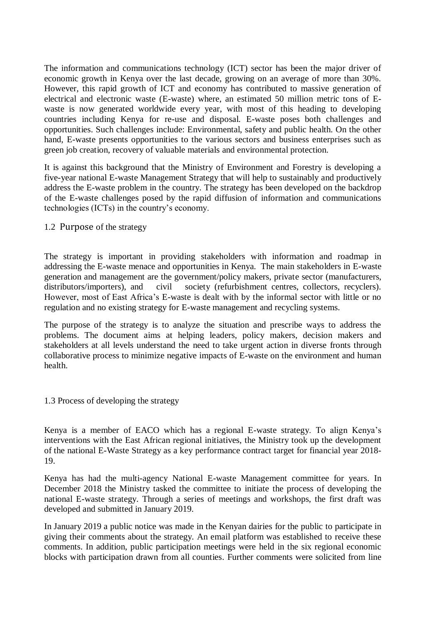The information and communications technology (ICT) sector has been the major driver of economic growth in Kenya over the last decade, growing on an average of more than 30%. However, this rapid growth of ICT and economy has contributed to massive generation of electrical and electronic waste (E-waste) where, an estimated 50 million metric tons of Ewaste is now generated worldwide every year, with most of this heading to developing countries including Kenya for re-use and disposal. E-waste poses both challenges and opportunities. Such challenges include: Environmental, safety and public health. On the other hand, E-waste presents opportunities to the various sectors and business enterprises such as green job creation, recovery of valuable materials and environmental protection.

<span id="page-12-0"></span>It is against this background that the Ministry of Environment and Forestry is developing a five-year national E-waste Management Strategy that will help to sustainably and productively address the E-waste problem in the country. The strategy has been developed on the backdrop of the E-waste challenges posed by the rapid diffusion of information and communications technologies (ICTs) in the country's economy.

#### 1.2 Purpose of the strategy

The strategy is important in providing stakeholders with information and roadmap in addressing the E-waste menace and opportunities in Kenya. The main stakeholders in E-waste generation and management are the government/policy makers, private sector (manufacturers, distributors/importers), and civil society (refurbishment centres, collectors, recyclers). However, most of East Africa's E-waste is dealt with by the informal sector with little or no regulation and no existing strategy for E-waste management and recycling systems.

The purpose of the strategy is to analyze the situation and prescribe ways to address the problems. The document aims at helping leaders, policy makers, decision makers and stakeholders at all levels understand the need to take urgent action in diverse fronts through collaborative process to minimize negative impacts of E-waste on the environment and human health.

#### <span id="page-12-1"></span>1.3 Process of developing the strategy

Kenya is a member of EACO which has a regional E-waste strategy. To align Kenya's interventions with the East African regional initiatives, the Ministry took up the development of the national E-Waste Strategy as a key performance contract target for financial year 2018- 19.

Kenya has had the multi-agency National E-waste Management committee for years. In December 2018 the Ministry tasked the committee to initiate the process of developing the national E-waste strategy. Through a series of meetings and workshops, the first draft was developed and submitted in January 2019.

In January 2019 a public notice was made in the Kenyan dairies for the public to participate in giving their comments about the strategy. An email platform was established to receive these comments. In addition, public participation meetings were held in the six regional economic blocks with participation drawn from all counties. Further comments were solicited from line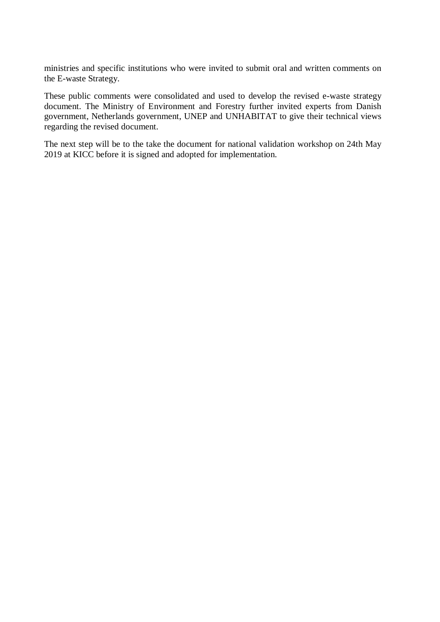ministries and specific institutions who were invited to submit oral and written comments on the E-waste Strategy.

These public comments were consolidated and used to develop the revised e-waste strategy document. The Ministry of Environment and Forestry further invited experts from Danish government, Netherlands government, UNEP and UNHABITAT to give their technical views regarding the revised document.

The next step will be to the take the document for national validation workshop on 24th May 2019 at KICC before it is signed and adopted for implementation.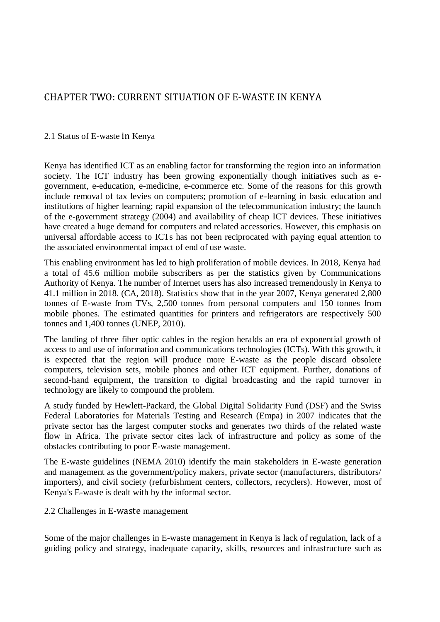## <span id="page-14-1"></span><span id="page-14-0"></span>CHAPTER TWO: CURRENT SITUATION OF E-WASTE IN KENYA

#### 2.1 Status of E-waste in Kenya

Kenya has identified ICT as an enabling factor for transforming the region into an information society. The ICT industry has been growing exponentially though initiatives such as egovernment, e-education, e-medicine, e-commerce etc. Some of the reasons for this growth include removal of tax levies on computers; promotion of e-learning in basic education and institutions of higher learning; rapid expansion of the telecommunication industry; the launch of the e-government strategy (2004) and availability of cheap ICT devices. These initiatives have created a huge demand for computers and related accessories. However, this emphasis on universal affordable access to ICTs has not been reciprocated with paying equal attention to the associated environmental impact of end of use waste.

This enabling environment has led to high proliferation of mobile devices. In 2018, Kenya had a total of 45.6 million mobile subscribers as per the statistics given by Communications Authority of Kenya. The number of Internet users has also increased tremendously in Kenya to 41.1 million in 2018. (CA, 2018). Statistics show that in the year 2007, Kenya generated 2,800 tonnes of E-waste from TVs, 2,500 tonnes from personal computers and 150 tonnes from mobile phones. The estimated quantities for printers and refrigerators are respectively 500 tonnes and 1,400 tonnes (UNEP, 2010).

The landing of three fiber optic cables in the region heralds an era of exponential growth of access to and use of information and communications technologies (ICTs). With this growth, it is expected that the region will produce more E-waste as the people discard obsolete computers, television sets, mobile phones and other ICT equipment. Further, donations of second-hand equipment, the transition to digital broadcasting and the rapid turnover in technology are likely to compound the problem.

A study funded by Hewlett-Packard, the Global Digital Solidarity Fund (DSF) and the Swiss Federal Laboratories for Materials Testing and Research (Empa) in 2007 indicates that the private sector has the largest computer stocks and generates two thirds of the related waste flow in Africa. The private sector cites lack of infrastructure and policy as some of the obstacles contributing to poor E-waste management.

<span id="page-14-2"></span>The E-waste guidelines (NEMA 2010) identify the main stakeholders in E-waste generation and management as the government/policy makers, private sector (manufacturers, distributors/ importers), and civil society (refurbishment centers, collectors, recyclers). However, most of Kenya's E-waste is dealt with by the informal sector.

2.2 Challenges in E-waste management

Some of the major challenges in E-waste management in Kenya is lack of regulation, lack of a guiding policy and strategy, inadequate capacity, skills, resources and infrastructure such as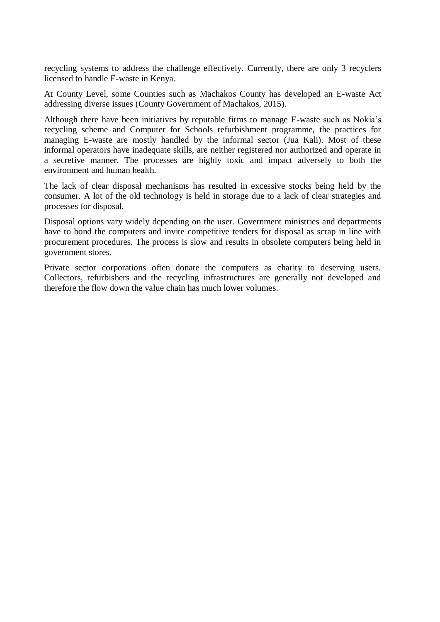recycling systems to address the challenge effectively. Currently, there are only 3 recyclers licensed to handle E-waste in Kenya.

At County Level, some Counties such as Machakos County has developed an E-waste Act addressing diverse issues (County Government of Machakos, 2015).

Although there have been initiatives by reputable firms to manage E-waste such as Nokia's recycling scheme and Computer for Schools refurbishment programme, the practices for managing E-waste are mostly handled by the informal sector (Jua Kali). Most of these informal operators have inadequate skills, are neither registered nor authorized and operate in a secretive manner. The processes are highly toxic and impact adversely to both the environment and human health.

The lack of clear disposal mechanisms has resulted in excessive stocks being held by the consumer. A lot of the old technology is held in storage due to a lack of clear strategies and processes for disposal.

Disposal options vary widely depending on the user. Government ministries and departments have to bond the computers and invite competitive tenders for disposal as scrap in line with procurement procedures. The process is slow and results in obsolete computers being held in government stores.

Private sector corporations often donate the computers as charity to deserving users. Collectors, refurbishers and the recycling infrastructures are generally not developed and therefore the flow down the value chain has much lower volumes.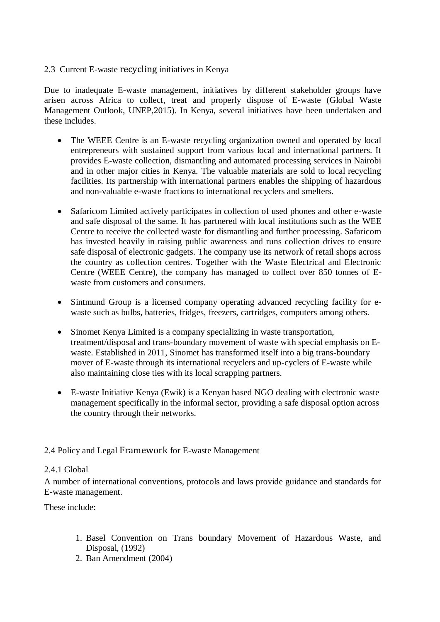#### <span id="page-16-0"></span>2.3 Current E-waste recycling initiatives in Kenya

Due to inadequate E-waste management, initiatives by different stakeholder groups have arisen across Africa to collect, treat and properly dispose of E-waste (Global Waste Management Outlook, UNEP,2015). In Kenya, several initiatives have been undertaken and these includes.

- The WEEE Centre is an E-waste recycling organization owned and operated by local entrepreneurs with sustained support from various local and international partners. It provides E-waste collection, dismantling and automated processing services in Nairobi and in other major cities in Kenya. The valuable materials are sold to local recycling facilities. Its partnership with international partners enables the shipping of hazardous and non-valuable e-waste fractions to international recyclers and smelters.
- Safaricom Limited actively participates in collection of used phones and other e-waste and safe disposal of the same. It has partnered with local institutions such as the WEE Centre to receive the collected waste for dismantling and further processing. Safaricom has invested heavily in raising public awareness and runs collection drives to ensure safe disposal of electronic gadgets. The company use its network of retail shops across the country as collection centres. Together with the Waste Electrical and Electronic Centre (WEEE Centre), the company has managed to collect over 850 tonnes of Ewaste from customers and consumers.
- Sintmund Group is a licensed company operating advanced recycling facility for ewaste such as bulbs, batteries, fridges, freezers, cartridges, computers among others.
- Sinomet Kenya Limited is a company specializing in waste transportation, treatment/disposal and trans-boundary movement of waste with special emphasis on Ewaste. Established in 2011, Sinomet has transformed itself into a big trans-boundary mover of E-waste through its international recyclers and up-cyclers of E-waste while also maintaining close ties with its local scrapping partners.
- <span id="page-16-1"></span> E-waste Initiative Kenya (Ewik) is a Kenyan based NGO dealing with electronic waste management specifically in the informal sector, providing a safe disposal option across the country through their networks.

#### <span id="page-16-2"></span>2.4 Policy and Legal Framework for E-waste Management

#### 2.4.1 Global

A number of international conventions, protocols and laws provide guidance and standards for E-waste management.

These include:

- 1. Basel Convention on Trans boundary Movement of Hazardous Waste, and Disposal, (1992)
- 2. Ban Amendment (2004)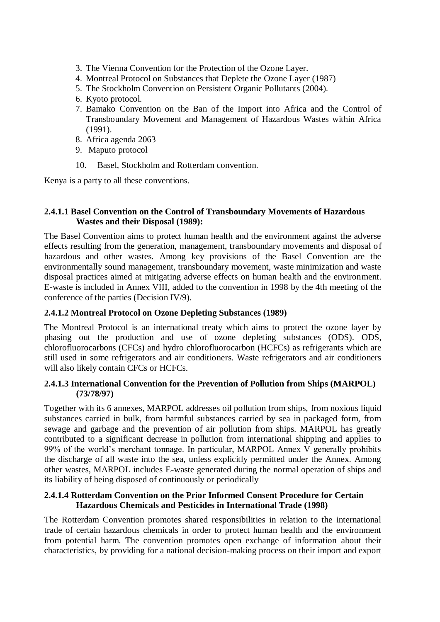- 3. The Vienna Convention for the Protection of the Ozone Layer.
- 4. Montreal Protocol on Substances that Deplete the Ozone Layer (1987)
- 5. The Stockholm Convention on Persistent Organic Pollutants (2004).
- 6. Kyoto protocol.
- 7. Bamako Convention on the Ban of the Import into Africa and the Control of Transboundary Movement and Management of Hazardous Wastes within Africa (1991).
- 8. Africa agenda 2063
- 9. Maputo protocol
- 10. Basel, Stockholm and Rotterdam convention.

<span id="page-17-0"></span>Kenya is a party to all these conventions.

#### **2.4.1.1 Basel Convention on the Control of Transboundary Movements of Hazardous Wastes and their Disposal (1989):**

The Basel Convention aims to protect human health and the environment against the adverse effects resulting from the generation, management, transboundary movements and disposal of hazardous and other wastes. Among key provisions of the Basel Convention are the environmentally sound management, transboundary movement, waste minimization and waste disposal practices aimed at mitigating adverse effects on human health and the environment. E-waste is included in Annex VIII, added to the convention in 1998 by the 4th meeting of the conference of the parties (Decision IV/9).

#### <span id="page-17-1"></span>**2.4.1.2 Montreal Protocol on Ozone Depleting Substances (1989)**

<span id="page-17-2"></span>The Montreal Protocol is an international treaty which aims to protect the ozone layer by phasing out the production and use of ozone depleting substances (ODS). ODS, chlorofluorocarbons (CFCs) and hydro chlorofluorocarbon (HCFCs) as refrigerants which are still used in some refrigerators and air conditioners. Waste refrigerators and air conditioners will also likely contain CFCs or HCFCs.

#### **2.4.1.3 International Convention for the Prevention of Pollution from Ships (MARPOL) (73/78/97)**

Together with its 6 annexes, MARPOL addresses oil pollution from ships, from noxious liquid substances carried in bulk, from harmful substances carried by sea in packaged form, from sewage and garbage and the prevention of air pollution from ships. MARPOL has greatly contributed to a significant decrease in pollution from international shipping and applies to 99% of the world's merchant tonnage. In particular, MARPOL Annex V generally prohibits the discharge of all waste into the sea, unless explicitly permitted under the Annex. Among other wastes, MARPOL includes E-waste generated during the normal operation of ships and its liability of being disposed of continuously or periodically

#### <span id="page-17-3"></span>**2.4.1.4 Rotterdam Convention on the Prior Informed Consent Procedure for Certain Hazardous Chemicals and Pesticides in International Trade (1998)**

The Rotterdam Convention promotes shared responsibilities in relation to the international trade of certain hazardous chemicals in order to protect human health and the environment from potential harm. The convention promotes open exchange of information about their characteristics, by providing for a national decision-making process on their import and export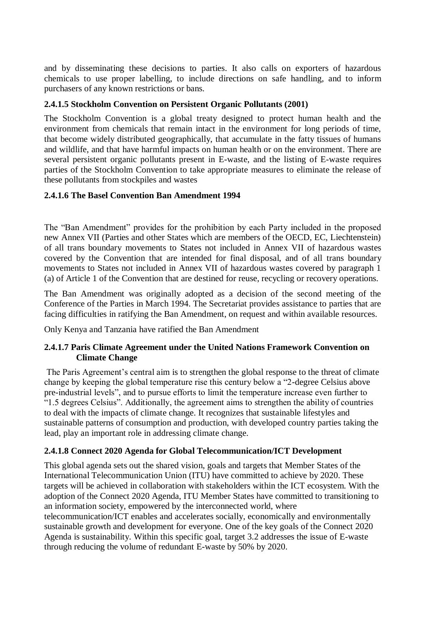<span id="page-18-0"></span>and by disseminating these decisions to parties. It also calls on exporters of hazardous chemicals to use proper labelling, to include directions on safe handling, and to inform purchasers of any known restrictions or bans.

#### **2.4.1.5 Stockholm Convention on Persistent Organic Pollutants (2001)**

The Stockholm Convention is a global treaty designed to protect human health and the environment from chemicals that remain intact in the environment for long periods of time, that become widely distributed geographically, that accumulate in the fatty tissues of humans and wildlife, and that have harmful impacts on human health or on the environment. There are several persistent organic pollutants present in E-waste, and the listing of E-waste requires parties of the Stockholm Convention to take appropriate measures to eliminate the release of these pollutants from stockpiles and wastes

#### <span id="page-18-1"></span>**2.4.1.6 The Basel Convention Ban Amendment 1994**

The "Ban Amendment" provides for the prohibition by each Party included in the proposed new Annex VII (Parties and other States which are members of the OECD, EC, Liechtenstein) of all trans boundary movements to States not included in Annex VII of hazardous wastes covered by the Convention that are intended for final disposal, and of all trans boundary movements to States not included in Annex VII of hazardous wastes covered by paragraph 1 (a) of Article 1 of the Convention that are destined for reuse, recycling or recovery operations.

<span id="page-18-2"></span>The Ban Amendment was originally adopted as a decision of the second meeting of the Conference of the Parties in March 1994. The Secretariat provides assistance to parties that are facing difficulties in ratifying the Ban Amendment, on request and within available resources.

Only Kenya and Tanzania have ratified the Ban Amendment

#### **2.4.1.7 Paris Climate Agreement under the United Nations Framework Convention on Climate Change**

The Paris Agreement's central aim is to strengthen the global response to the threat of climate change by keeping the global temperature rise this century below a "2-degree Celsius above pre-industrial levels", and to pursue efforts to limit the temperature increase even further to "1.5 degrees Celsius". Additionally, the agreement aims to strengthen the ability of countries to deal with the impacts of climate change. It recognizes that sustainable lifestyles and sustainable patterns of consumption and production, with developed country parties taking the lead, play an important role in addressing climate change.

#### <span id="page-18-3"></span>**2.4.1.8 Connect 2020 Agenda for Global Telecommunication/ICT Development**

This global agenda sets out the shared vision, goals and targets that Member States of the International Telecommunication Union (ITU) have committed to achieve by 2020. These targets will be achieved in collaboration with stakeholders within the ICT ecosystem. With the adoption of the Connect 2020 Agenda, ITU Member States have committed to transitioning to an information society, empowered by the interconnected world, where telecommunication/ICT enables and accelerates socially, economically and environmentally sustainable growth and development for everyone. One of the key goals of the Connect 2020 Agenda is sustainability. Within this specific goal, target 3.2 addresses the issue of E-waste through reducing the volume of redundant E-waste by 50% by 2020.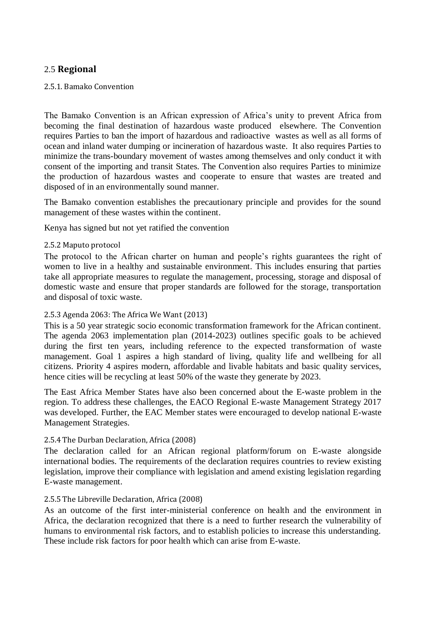## <span id="page-19-1"></span><span id="page-19-0"></span>2.5 **Regional**

#### 2.5.1. Bamako Convention

The Bamako Convention is an African expression of Africa's unity to prevent Africa from becoming the final destination of hazardous waste produced elsewhere. The Convention requires Parties to ban the import of hazardous and radioactive wastes as well as all forms of ocean and inland water dumping or incineration of hazardous waste. It also requires Parties to minimize the trans-boundary movement of wastes among themselves and only conduct it with consent of the importing and transit States. The Convention also requires Parties to minimize the production of hazardous wastes and cooperate to ensure that wastes are treated and disposed of in an environmentally sound manner.

<span id="page-19-2"></span>The Bamako convention establishes the precautionary principle and provides for the sound management of these wastes within the continent.

Kenya has signed but not yet ratified the convention

#### 2.5.2 Maputo protocol

<span id="page-19-3"></span>The protocol to the African charter on human and people's rights guarantees the right of women to live in a healthy and sustainable environment. This includes ensuring that parties take all appropriate measures to regulate the management, processing, storage and disposal of domestic waste and ensure that proper standards are followed for the storage, transportation and disposal of toxic waste.

#### 2.5.3 Agenda 2063: The Africa We Want (2013)

This is a 50 year strategic socio economic transformation framework for the African continent. The agenda 2063 implementation plan (2014-2023) outlines specific goals to be achieved during the first ten years, including reference to the expected transformation of waste management. Goal 1 aspires a high standard of living, quality life and wellbeing for all citizens. Priority 4 aspires modern, affordable and livable habitats and basic quality services, hence cities will be recycling at least 50% of the waste they generate by 2023.

<span id="page-19-4"></span>The East Africa Member States have also been concerned about the E-waste problem in the region. To address these challenges, the EACO Regional E-waste Management Strategy 2017 was developed. Further, the EAC Member states were encouraged to develop national E-waste Management Strategies.

#### 2.5.4 The Durban Declaration, Africa (2008)

<span id="page-19-5"></span>The declaration called for an African regional platform/forum on E-waste alongside international bodies. The requirements of the declaration requires countries to review existing legislation, improve their compliance with legislation and amend existing legislation regarding E-waste management.

#### 2.5.5 The Libreville Declaration, Africa (2008)

As an outcome of the first inter-ministerial conference on health and the environment in Africa, the declaration recognized that there is a need to further research the vulnerability of humans to environmental risk factors, and to establish policies to increase this understanding. These include risk factors for poor health which can arise from E-waste.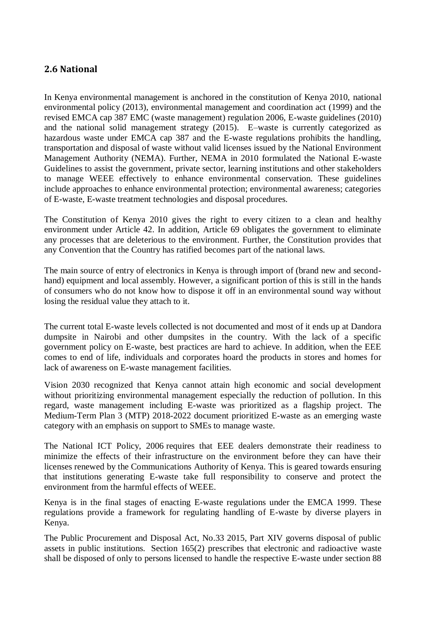## <span id="page-20-0"></span>**2.6 National**

In Kenya environmental management is anchored in the constitution of Kenya 2010, national environmental policy (2013), environmental management and coordination act (1999) and the revised EMCA cap 387 EMC (waste management) regulation 2006, E-waste guidelines (2010) and the national solid management strategy (2015). E–waste is currently categorized as hazardous waste under EMCA cap 387 and the E-waste regulations prohibits the handling, transportation and disposal of waste without valid licenses issued by the National Environment Management Authority (NEMA). Further, NEMA in 2010 formulated the National E-waste Guidelines to assist the government, private sector, learning institutions and other stakeholders to manage WEEE effectively to enhance environmental conservation. These guidelines include approaches to enhance environmental protection; environmental awareness; categories of E-waste, E-waste treatment technologies and disposal procedures.

The Constitution of Kenya 2010 gives the right to every citizen to a clean and healthy environment under Article 42. In addition, Article 69 obligates the government to eliminate any processes that are deleterious to the environment. Further, the Constitution provides that any Convention that the Country has ratified becomes part of the national laws.

The main source of entry of electronics in Kenya is through import of (brand new and secondhand) equipment and local assembly. However, a significant portion of this is still in the hands of consumers who do not know how to dispose it off in an environmental sound way without losing the residual value they attach to it.

The current total E-waste levels collected is not documented and most of it ends up at Dandora dumpsite in Nairobi and other dumpsites in the country. With the lack of a specific government policy on E-waste, best practices are hard to achieve. In addition, when the EEE comes to end of life, individuals and corporates hoard the products in stores and homes for lack of awareness on E-waste management facilities.

Vision 2030 recognized that Kenya cannot attain high economic and social development without prioritizing environmental management especially the reduction of pollution. In this regard, waste management including E-waste was prioritized as a flagship project. The Medium-Term Plan 3 (MTP) 2018-2022 document prioritized E-waste as an emerging waste category with an emphasis on support to SMEs to manage waste.

The National ICT Policy, 2006 requires that EEE dealers demonstrate their readiness to minimize the effects of their infrastructure on the environment before they can have their licenses renewed by the Communications Authority of Kenya. This is geared towards ensuring that institutions generating E-waste take full responsibility to conserve and protect the environment from the harmful effects of WEEE.

Kenya is in the final stages of enacting E-waste regulations under the EMCA 1999. These regulations provide a framework for regulating handling of E-waste by diverse players in Kenya.

The Public Procurement and Disposal Act, No.33 2015, Part XIV governs disposal of public assets in public institutions. Section 165(2) prescribes that electronic and radioactive waste shall be disposed of only to persons licensed to handle the respective E-waste under section 88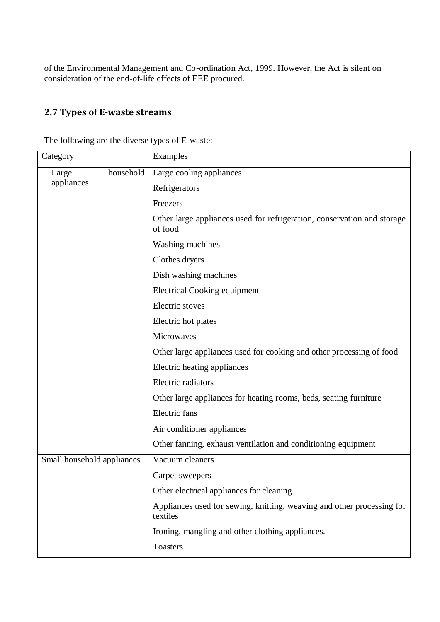<span id="page-21-0"></span>of the Environmental Management and Co-ordination Act, 1999. However, the Act is silent on consideration of the end-of-life effects of EEE procured.

## **2.7 Types of E-waste streams**

| Category                   | Examples                                                                           |
|----------------------------|------------------------------------------------------------------------------------|
| household<br>Large         | Large cooling appliances                                                           |
| appliances                 | Refrigerators                                                                      |
|                            | Freezers                                                                           |
|                            | Other large appliances used for refrigeration, conservation and storage<br>of food |
|                            | <b>Washing machines</b>                                                            |
|                            | Clothes dryers                                                                     |
|                            | Dish washing machines                                                              |
|                            | <b>Electrical Cooking equipment</b>                                                |
|                            | Electric stoves                                                                    |
|                            | Electric hot plates                                                                |
|                            | Microwaves                                                                         |
|                            | Other large appliances used for cooking and other processing of food               |
|                            | Electric heating appliances                                                        |
|                            | Electric radiators                                                                 |
|                            | Other large appliances for heating rooms, beds, seating furniture                  |
|                            | Electric fans                                                                      |
|                            | Air conditioner appliances                                                         |
|                            | Other fanning, exhaust ventilation and conditioning equipment                      |
| Small household appliances | Vacuum cleaners                                                                    |
|                            | Carpet sweepers                                                                    |
|                            | Other electrical appliances for cleaning                                           |
|                            | Appliances used for sewing, knitting, weaving and other processing for<br>textiles |
|                            | Ironing, mangling and other clothing appliances.                                   |
|                            | <b>Toasters</b>                                                                    |

The following are the diverse types of E-waste: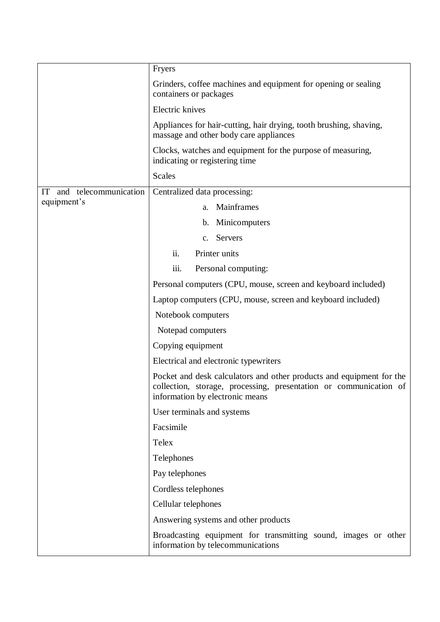|                             | Fryers                                                                                                                                                                       |  |  |  |  |  |
|-----------------------------|------------------------------------------------------------------------------------------------------------------------------------------------------------------------------|--|--|--|--|--|
|                             | Grinders, coffee machines and equipment for opening or sealing<br>containers or packages                                                                                     |  |  |  |  |  |
|                             | Electric knives                                                                                                                                                              |  |  |  |  |  |
|                             | Appliances for hair-cutting, hair drying, tooth brushing, shaving,<br>massage and other body care appliances                                                                 |  |  |  |  |  |
|                             | Clocks, watches and equipment for the purpose of measuring,<br>indicating or registering time                                                                                |  |  |  |  |  |
|                             | <b>Scales</b>                                                                                                                                                                |  |  |  |  |  |
| and telecommunication<br>IT | Centralized data processing:                                                                                                                                                 |  |  |  |  |  |
| equipment's                 | Mainframes<br>a.                                                                                                                                                             |  |  |  |  |  |
|                             | b. Minicomputers                                                                                                                                                             |  |  |  |  |  |
|                             | c. Servers                                                                                                                                                                   |  |  |  |  |  |
|                             | ii.<br>Printer units                                                                                                                                                         |  |  |  |  |  |
|                             | iii.<br>Personal computing:                                                                                                                                                  |  |  |  |  |  |
|                             | Personal computers (CPU, mouse, screen and keyboard included)                                                                                                                |  |  |  |  |  |
|                             | Laptop computers (CPU, mouse, screen and keyboard included)                                                                                                                  |  |  |  |  |  |
|                             | Notebook computers                                                                                                                                                           |  |  |  |  |  |
|                             | Notepad computers                                                                                                                                                            |  |  |  |  |  |
|                             | Copying equipment                                                                                                                                                            |  |  |  |  |  |
|                             | Electrical and electronic typewriters                                                                                                                                        |  |  |  |  |  |
|                             | Pocket and desk calculators and other products and equipment for the<br>collection, storage, processing, presentation or communication of<br>information by electronic means |  |  |  |  |  |
|                             | User terminals and systems                                                                                                                                                   |  |  |  |  |  |
|                             | Facsimile                                                                                                                                                                    |  |  |  |  |  |
|                             | Telex                                                                                                                                                                        |  |  |  |  |  |
|                             | Telephones                                                                                                                                                                   |  |  |  |  |  |
|                             | Pay telephones                                                                                                                                                               |  |  |  |  |  |
|                             | Cordless telephones                                                                                                                                                          |  |  |  |  |  |
|                             | Cellular telephones                                                                                                                                                          |  |  |  |  |  |
|                             | Answering systems and other products                                                                                                                                         |  |  |  |  |  |
|                             | Broadcasting equipment for transmitting sound, images or other<br>information by telecommunications                                                                          |  |  |  |  |  |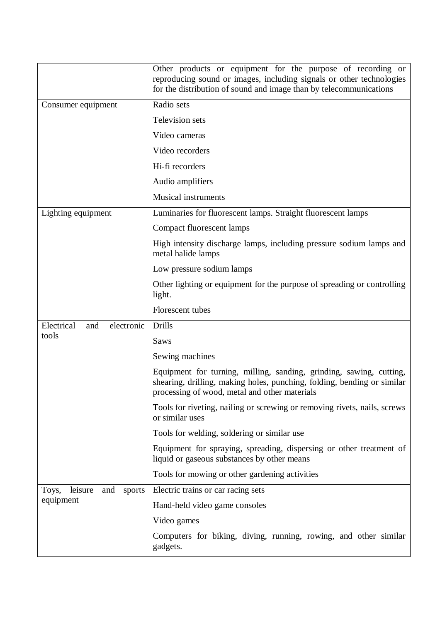|                                   | Other products or equipment for the purpose of recording or<br>reproducing sound or images, including signals or other technologies<br>for the distribution of sound and image than by telecommunications |  |  |  |  |  |  |
|-----------------------------------|-----------------------------------------------------------------------------------------------------------------------------------------------------------------------------------------------------------|--|--|--|--|--|--|
| Consumer equipment                | Radio sets                                                                                                                                                                                                |  |  |  |  |  |  |
|                                   | Television sets                                                                                                                                                                                           |  |  |  |  |  |  |
|                                   | Video cameras                                                                                                                                                                                             |  |  |  |  |  |  |
|                                   | Video recorders                                                                                                                                                                                           |  |  |  |  |  |  |
|                                   | Hi-fi recorders                                                                                                                                                                                           |  |  |  |  |  |  |
|                                   | Audio amplifiers                                                                                                                                                                                          |  |  |  |  |  |  |
|                                   | <b>Musical instruments</b>                                                                                                                                                                                |  |  |  |  |  |  |
| Lighting equipment                | Luminaries for fluorescent lamps. Straight fluorescent lamps                                                                                                                                              |  |  |  |  |  |  |
|                                   | <b>Compact fluorescent lamps</b>                                                                                                                                                                          |  |  |  |  |  |  |
|                                   | High intensity discharge lamps, including pressure sodium lamps and<br>metal halide lamps                                                                                                                 |  |  |  |  |  |  |
|                                   | Low pressure sodium lamps                                                                                                                                                                                 |  |  |  |  |  |  |
|                                   | Other lighting or equipment for the purpose of spreading or controlling<br>light.                                                                                                                         |  |  |  |  |  |  |
|                                   | Florescent tubes                                                                                                                                                                                          |  |  |  |  |  |  |
| Electrical<br>electronic<br>and   | Drills                                                                                                                                                                                                    |  |  |  |  |  |  |
| tools                             | Saws                                                                                                                                                                                                      |  |  |  |  |  |  |
|                                   | Sewing machines                                                                                                                                                                                           |  |  |  |  |  |  |
|                                   | Equipment for turning, milling, sanding, grinding, sawing, cutting,<br>shearing, drilling, making holes, punching, folding, bending or similar<br>processing of wood, metal and other materials           |  |  |  |  |  |  |
|                                   | Tools for riveting, nailing or screwing or removing rivets, nails, screws<br>or similar uses                                                                                                              |  |  |  |  |  |  |
|                                   | Tools for welding, soldering or similar use                                                                                                                                                               |  |  |  |  |  |  |
|                                   | Equipment for spraying, spreading, dispersing or other treatment of<br>liquid or gaseous substances by other means                                                                                        |  |  |  |  |  |  |
|                                   | Tools for mowing or other gardening activities                                                                                                                                                            |  |  |  |  |  |  |
| leisure<br>Toys,<br>and<br>sports | Electric trains or car racing sets                                                                                                                                                                        |  |  |  |  |  |  |
| equipment                         | Hand-held video game consoles                                                                                                                                                                             |  |  |  |  |  |  |
|                                   | Video games                                                                                                                                                                                               |  |  |  |  |  |  |
|                                   | Computers for biking, diving, running, rowing, and other similar<br>gadgets.                                                                                                                              |  |  |  |  |  |  |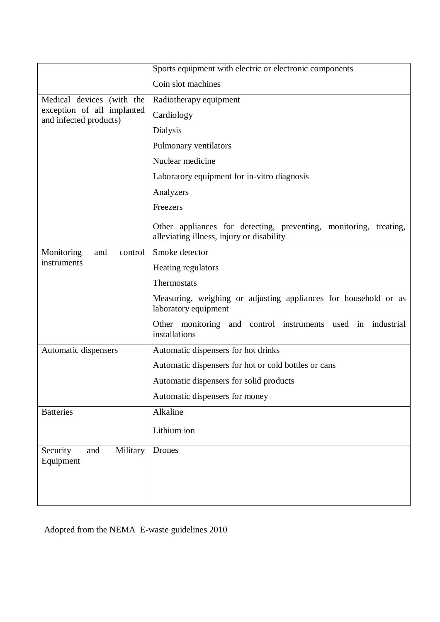|                                                      | Sports equipment with electric or electronic components                                                        |  |  |  |  |  |
|------------------------------------------------------|----------------------------------------------------------------------------------------------------------------|--|--|--|--|--|
|                                                      | Coin slot machines                                                                                             |  |  |  |  |  |
| Medical devices (with the                            | Radiotherapy equipment                                                                                         |  |  |  |  |  |
| exception of all implanted<br>and infected products) | Cardiology                                                                                                     |  |  |  |  |  |
|                                                      | Dialysis                                                                                                       |  |  |  |  |  |
|                                                      | Pulmonary ventilators                                                                                          |  |  |  |  |  |
|                                                      | Nuclear medicine                                                                                               |  |  |  |  |  |
|                                                      | Laboratory equipment for in-vitro diagnosis                                                                    |  |  |  |  |  |
|                                                      | Analyzers                                                                                                      |  |  |  |  |  |
|                                                      | Freezers                                                                                                       |  |  |  |  |  |
|                                                      | Other appliances for detecting, preventing, monitoring, treating,<br>alleviating illness, injury or disability |  |  |  |  |  |
| Monitoring<br>and<br>control                         | Smoke detector                                                                                                 |  |  |  |  |  |
| instruments                                          | Heating regulators                                                                                             |  |  |  |  |  |
|                                                      | Thermostats                                                                                                    |  |  |  |  |  |
|                                                      | Measuring, weighing or adjusting appliances for household or as<br>laboratory equipment                        |  |  |  |  |  |
|                                                      | Other monitoring and control instruments used in industrial<br>installations                                   |  |  |  |  |  |
| Automatic dispensers                                 | Automatic dispensers for hot drinks                                                                            |  |  |  |  |  |
|                                                      | Automatic dispensers for hot or cold bottles or cans                                                           |  |  |  |  |  |
|                                                      | Automatic dispensers for solid products                                                                        |  |  |  |  |  |
|                                                      | Automatic dispensers for money                                                                                 |  |  |  |  |  |
| <b>Batteries</b>                                     | Alkaline                                                                                                       |  |  |  |  |  |
|                                                      | Lithium ion                                                                                                    |  |  |  |  |  |
| Security<br>Military<br>and<br>Equipment             | <b>Drones</b>                                                                                                  |  |  |  |  |  |
|                                                      |                                                                                                                |  |  |  |  |  |
|                                                      |                                                                                                                |  |  |  |  |  |
|                                                      |                                                                                                                |  |  |  |  |  |

Adopted from the NEMA E-waste guidelines 2010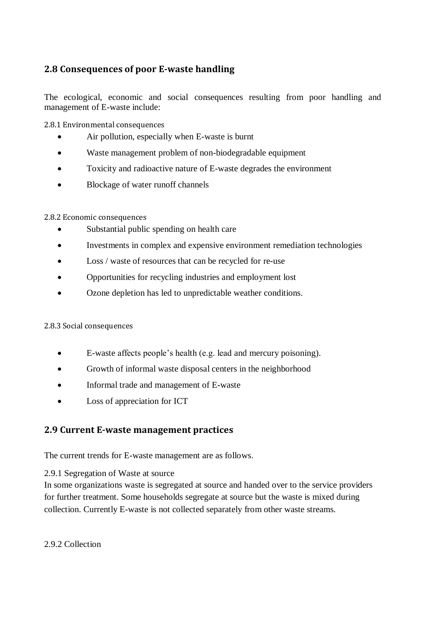## <span id="page-25-0"></span>**2.8 Consequences of poor E-waste handling**

<span id="page-25-1"></span>The ecological, economic and social consequences resulting from poor handling and management of E-waste include:

2.8.1 Environmental consequences

- Air pollution, especially when E-waste is burnt
- Waste management problem of non-biodegradable equipment
- Toxicity and radioactive nature of E-waste degrades the environment
- <span id="page-25-2"></span>• Blockage of water runoff channels

#### 2.8.2 Economic consequences

- Substantial public spending on health care
- Investments in complex and expensive environment remediation technologies
- Loss / waste of resources that can be recycled for re-use
- Opportunities for recycling industries and employment lost
- <span id="page-25-3"></span>Ozone depletion has led to unpredictable weather conditions.

#### 2.8.3 Social consequences

- E-waste affects people's health (e.g. lead and mercury poisoning).
- Growth of informal waste disposal centers in the neighborhood
- <span id="page-25-4"></span>• Informal trade and management of E-waste
- Loss of appreciation for ICT

## <span id="page-25-5"></span>**2.9 Current E-waste management practices**

The current trends for E-waste management are as follows.

2.9.1 Segregation of Waste at source

<span id="page-25-6"></span>In some organizations waste is segregated at source and handed over to the service providers for further treatment. Some households segregate at source but the waste is mixed during collection. Currently E-waste is not collected separately from other waste streams.

2.9.2 Collection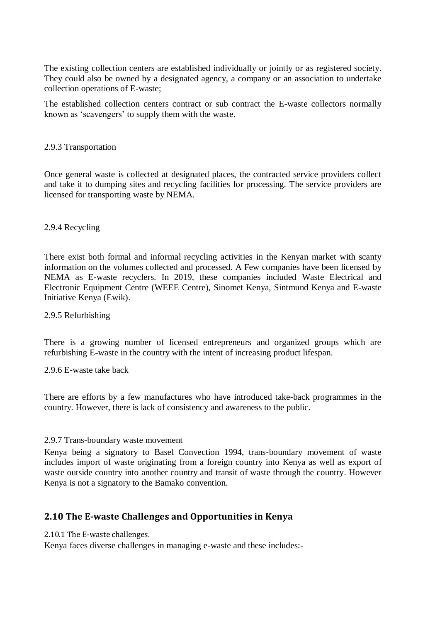The existing collection centers are established individually or jointly or as registered society. They could also be owned by a designated agency, a company or an association to undertake collection operations of E-waste;

<span id="page-26-0"></span>The established collection centers contract or sub contract the E-waste collectors normally known as 'scavengers' to supply them with the waste.

#### 2.9.3 Transportation

<span id="page-26-1"></span>Once general waste is collected at designated places, the contracted service providers collect and take it to dumping sites and recycling facilities for processing. The service providers are licensed for transporting waste by NEMA.

#### 2.9.4 Recycling

<span id="page-26-2"></span>There exist both formal and informal recycling activities in the Kenyan market with scanty information on the volumes collected and processed. A Few companies have been licensed by NEMA as E-waste recyclers. In 2019, these companies included Waste Electrical and Electronic Equipment Centre (WEEE Centre), Sinomet Kenya, Sintmund Kenya and E-waste Initiative Kenya (Ewik).

#### 2.9.5 Refurbishing

<span id="page-26-3"></span>There is a growing number of licensed entrepreneurs and organized groups which are refurbishing E-waste in the country with the intent of increasing product lifespan.

2.9.6 E-waste take back

<span id="page-26-4"></span>There are efforts by a few manufactures who have introduced take-back programmes in the country. However, there is lack of consistency and awareness to the public.

#### 2.9.7 Trans-boundary waste movement

<span id="page-26-5"></span>Kenya being a signatory to Basel Convection 1994, trans-boundary movement of waste includes import of waste originating from a foreign country into Kenya as well as export of waste outside country into another country and transit of waste through the country. However Kenya is not a signatory to the Bamako convention.

#### <span id="page-26-6"></span>**2.10 The E-waste Challenges and Opportunities in Kenya**

2.10.1 The E-waste challenges.

Kenya faces diverse challenges in managing e-waste and these includes:-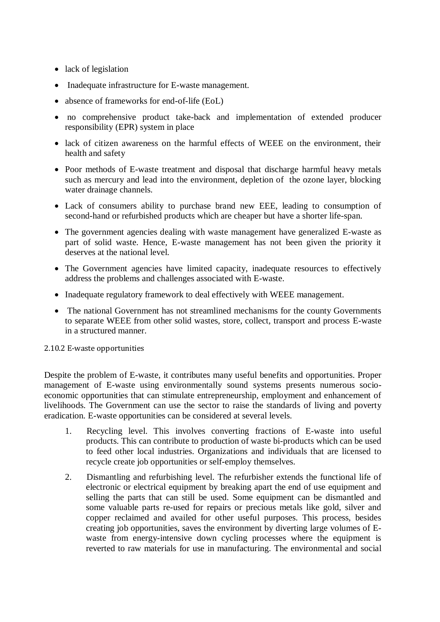- lack of legislation
- Inadequate infrastructure for E-waste management.
- absence of frameworks for end-of-life (EoL)
- no comprehensive product take-back and implementation of extended producer responsibility (EPR) system in place
- lack of citizen awareness on the harmful effects of WEEE on the environment, their health and safety
- Poor methods of E-waste treatment and disposal that discharge harmful heavy metals such as mercury and lead into the environment, depletion of the ozone layer, blocking water drainage channels.
- Lack of consumers ability to purchase brand new EEE, leading to consumption of second-hand or refurbished products which are cheaper but have a shorter life-span.
- The government agencies dealing with waste management have generalized E-waste as part of solid waste. Hence, E-waste management has not been given the priority it deserves at the national level.
- The Government agencies have limited capacity, inadequate resources to effectively address the problems and challenges associated with E-waste.
- Inadequate regulatory framework to deal effectively with WEEE management.
- <span id="page-27-0"></span>• The national Government has not streamlined mechanisms for the county Governments to separate WEEE from other solid wastes, store, collect, transport and process E-waste in a structured manner.

2.10.2 E-waste opportunities

Despite the problem of E-waste, it contributes many useful benefits and opportunities. Proper management of E-waste using environmentally sound systems presents numerous socioeconomic opportunities that can stimulate entrepreneurship, employment and enhancement of livelihoods. The Government can use the sector to raise the standards of living and poverty eradication. E-waste opportunities can be considered at several levels.

- 1. Recycling level. This involves converting fractions of E-waste into useful products. This can contribute to production of waste bi-products which can be used to feed other local industries. Organizations and individuals that are licensed to recycle create job opportunities or self-employ themselves.
- 2. Dismantling and refurbishing level. The refurbisher extends the functional life of electronic or electrical equipment by breaking apart the end of use equipment and selling the parts that can still be used. Some equipment can be dismantled and some valuable parts re-used for repairs or precious metals like gold, silver and copper reclaimed and availed for other useful purposes. This process, besides creating job opportunities, saves the environment by diverting large volumes of Ewaste from energy-intensive down cycling processes where the equipment is reverted to raw materials for use in manufacturing. The environmental and social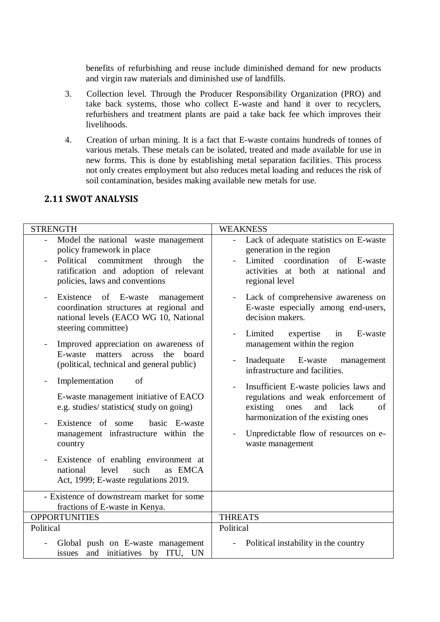benefits of refurbishing and reuse include diminished demand for new products and virgin raw materials and diminished use of landfills.

- 3. Collection level. Through the Producer Responsibility Organization (PRO) and take back systems, those who collect E-waste and hand it over to recyclers, refurbishers and treatment plants are paid a take back fee which improves their livelihoods.
- <span id="page-28-0"></span>4. Creation of urban mining. It is a fact that E-waste contains hundreds of tonnes of various metals. These metals can be isolated, treated and made available for use in new forms. This is done by establishing metal separation facilities. This process not only creates employment but also reduces metal loading and reduces the risk of soil contamination, besides making available new metals for use.

## **2.11 SWOT ANALYSIS**

| <b>STRENGTH</b>                                                                                                                                                                                                                                                                                                                                                                                                                                                                                                                                                                                                         | <b>WEAKNESS</b>                                                                                                                                                                                                                                                                                                                                                                                                                                                                                            |
|-------------------------------------------------------------------------------------------------------------------------------------------------------------------------------------------------------------------------------------------------------------------------------------------------------------------------------------------------------------------------------------------------------------------------------------------------------------------------------------------------------------------------------------------------------------------------------------------------------------------------|------------------------------------------------------------------------------------------------------------------------------------------------------------------------------------------------------------------------------------------------------------------------------------------------------------------------------------------------------------------------------------------------------------------------------------------------------------------------------------------------------------|
| Model the national waste management<br>$\overline{a}$<br>policy framework in place<br>commitment<br>Political<br>through<br>the<br>ratification and adoption of relevant<br>policies, laws and conventions                                                                                                                                                                                                                                                                                                                                                                                                              | Lack of adequate statistics on E-waste<br>$\equiv$<br>generation in the region<br>coordination<br>Limited<br>of<br>E-waste<br>activities at both at national and<br>regional level                                                                                                                                                                                                                                                                                                                         |
| Existence of E-waste<br>management<br>coordination structures at regional and<br>national levels (EACO WG 10, National<br>steering committee)<br>Improved appreciation on awareness of<br>matters<br>across<br>the<br>E-waste<br>board<br>(political, technical and general public)<br>Implementation<br>of<br>-<br>E-waste management initiative of EACO<br>e.g. studies/ statistics( study on going)<br>Existence of some<br>basic E-waste<br>management infrastructure within the<br>country<br>Existence of enabling environment at<br>level<br>as EMCA<br>national<br>such<br>Act, 1999; E-waste regulations 2019. | Lack of comprehensive awareness on<br>$\overline{a}$<br>E-waste especially among end-users,<br>decision makers.<br>Limited<br>E-waste<br>expertise<br>in<br>management within the region<br>E-waste<br>Inadequate<br>management<br>infrastructure and facilities.<br>Insufficient E-waste policies laws and<br>$\equiv$<br>regulations and weak enforcement of<br>existing<br>lack<br>of<br>ones<br>and<br>harmonization of the existing ones<br>Unpredictable flow of resources on e-<br>waste management |
| - Existence of downstream market for some                                                                                                                                                                                                                                                                                                                                                                                                                                                                                                                                                                               |                                                                                                                                                                                                                                                                                                                                                                                                                                                                                                            |
| fractions of E-waste in Kenya.                                                                                                                                                                                                                                                                                                                                                                                                                                                                                                                                                                                          |                                                                                                                                                                                                                                                                                                                                                                                                                                                                                                            |
| <b>OPPORTUNITIES</b>                                                                                                                                                                                                                                                                                                                                                                                                                                                                                                                                                                                                    | <b>THREATS</b>                                                                                                                                                                                                                                                                                                                                                                                                                                                                                             |
| Political                                                                                                                                                                                                                                                                                                                                                                                                                                                                                                                                                                                                               | Political                                                                                                                                                                                                                                                                                                                                                                                                                                                                                                  |
| Global push on E-waste management<br>and initiatives by ITU, UN<br>issues                                                                                                                                                                                                                                                                                                                                                                                                                                                                                                                                               | Political instability in the country                                                                                                                                                                                                                                                                                                                                                                                                                                                                       |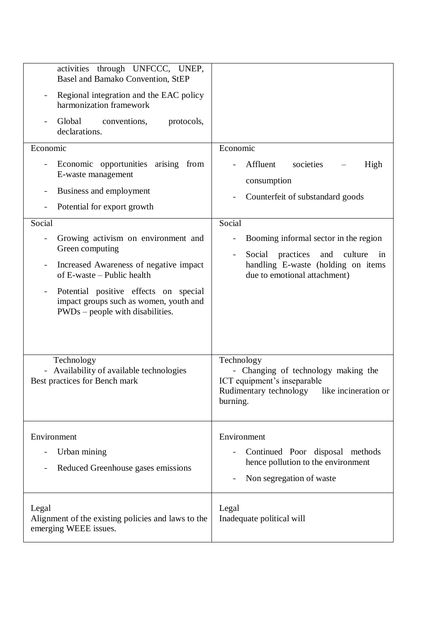| activities through UNFCCC, UNEP,<br>Basel and Bamako Convention, StEP<br>Regional integration and the EAC policy<br>harmonization framework<br>Global<br>conventions,<br>protocols,<br>declarations.<br>Economic<br>Economic opportunities arising from<br>E-waste management<br>Business and employment<br>Potential for export growth<br>Social<br>Growing activism on environment and<br>Green computing<br>Increased Awareness of negative impact<br>of E-waste – Public health<br>Potential positive effects on special<br>impact groups such as women, youth and<br>$PWDs$ – people with disabilities. | Economic<br>Affluent<br>societies<br>High<br>consumption<br>Counterfeit of substandard goods<br>Social<br>Booming informal sector in the region<br>Social practices<br>and<br>culture<br>in<br>handling E-waste (holding on items<br>due to emotional attachment) |
|--------------------------------------------------------------------------------------------------------------------------------------------------------------------------------------------------------------------------------------------------------------------------------------------------------------------------------------------------------------------------------------------------------------------------------------------------------------------------------------------------------------------------------------------------------------------------------------------------------------|-------------------------------------------------------------------------------------------------------------------------------------------------------------------------------------------------------------------------------------------------------------------|
| Technology<br>- Availability of available technologies<br>Best practices for Bench mark                                                                                                                                                                                                                                                                                                                                                                                                                                                                                                                      | Technology<br>- Changing of technology making the<br>ICT equipment's inseparable<br>Rudimentary technology like incineration or<br>burning.                                                                                                                       |
| Environment<br>Urban mining<br>Reduced Greenhouse gases emissions                                                                                                                                                                                                                                                                                                                                                                                                                                                                                                                                            | Environment<br>Continued Poor disposal methods<br>hence pollution to the environment<br>Non segregation of waste                                                                                                                                                  |
| Legal<br>Alignment of the existing policies and laws to the<br>emerging WEEE issues.                                                                                                                                                                                                                                                                                                                                                                                                                                                                                                                         | Legal<br>Inadequate political will                                                                                                                                                                                                                                |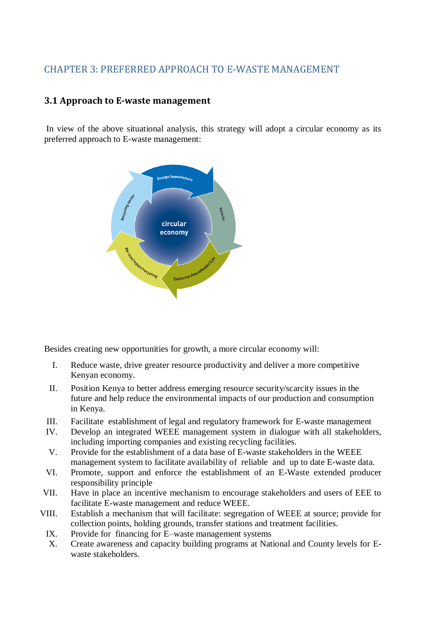## <span id="page-30-1"></span><span id="page-30-0"></span>CHAPTER 3: PREFERRED APPROACH TO E-WASTE MANAGEMENT

## **3.1 Approach to E-waste management**

In view of the above situational analysis, this strategy will adopt a circular economy as its preferred approach to E-waste management:



Besides creating new opportunities for growth, a more circular economy will:

- I. Reduce waste, drive greater resource productivity and deliver a more competitive Kenyan economy.
- II. Position Kenya to better address emerging resource security/scarcity issues in the future and help reduce the environmental impacts of our production and consumption in Kenya.
- III. Facilitate establishment of legal and regulatory framework for E-waste management
- IV. Develop an integrated WEEE management system in dialogue with all stakeholders, including importing companies and existing recycling facilities.
- V. Provide for the establishment of a data base of E-waste stakeholders in the WEEE management system to facilitate availability of reliable and up to date E-waste data.
- VI. Promote, support and enforce the establishment of an E-Waste extended producer responsibility principle
- VII. Have in place an incentive mechanism to encourage stakeholders and users of EEE to facilitate E-waste management and reduce WEEE.
- VIII. Establish a mechanism that will facilitate: segregation of WEEE at source; provide for collection points, holding grounds, transfer stations and treatment facilities.
- IX. Provide for financing for E–waste management systems
- X. Create awareness and capacity building programs at National and County levels for Ewaste stakeholders.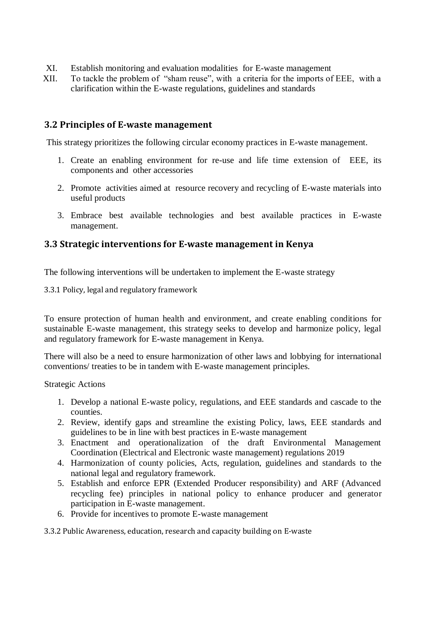- XI. Establish monitoring and evaluation modalities for E-waste management
- XII. To tackle the problem of "sham reuse", with a criteria for the imports of EEE, with a clarification within the E-waste regulations, guidelines and standards

### **3.2 Principles of E-waste management**

This strategy prioritizes the following circular economy practices in E-waste management.

- 1. Create an enabling environment for re-use and life time extension of EEE, its components and other accessories
- 2. Promote activities aimed at resource recovery and recycling of E-waste materials into useful products
- <span id="page-31-0"></span>3. Embrace best available technologies and best available practices in E-waste management.

### <span id="page-31-1"></span>**3.3 Strategic interventions for E-waste management in Kenya**

The following interventions will be undertaken to implement the E-waste strategy

3.3.1 Policy, legal and regulatory framework

To ensure protection of human health and environment, and create enabling conditions for sustainable E-waste management, this strategy seeks to develop and harmonize policy, legal and regulatory framework for E-waste management in Kenya.

There will also be a need to ensure harmonization of other laws and lobbying for international conventions/ treaties to be in tandem with E-waste management principles.

Strategic Actions

- 1. Develop a national E-waste policy, regulations, and EEE standards and cascade to the counties.
- 2. Review, identify gaps and streamline the existing Policy, laws, EEE standards and guidelines to be in line with best practices in E-waste management
- 3. Enactment and operationalization of the draft Environmental Management Coordination (Electrical and Electronic waste management) regulations 2019
- 4. Harmonization of county policies, Acts, regulation, guidelines and standards to the national legal and regulatory framework.
- <span id="page-31-2"></span>5. Establish and enforce EPR (Extended Producer responsibility) and ARF (Advanced recycling fee) principles in national policy to enhance producer and generator participation in E-waste management.
- 6. Provide for incentives to promote E-waste management

3.3.2 Public Awareness, education, research and capacity building on E-waste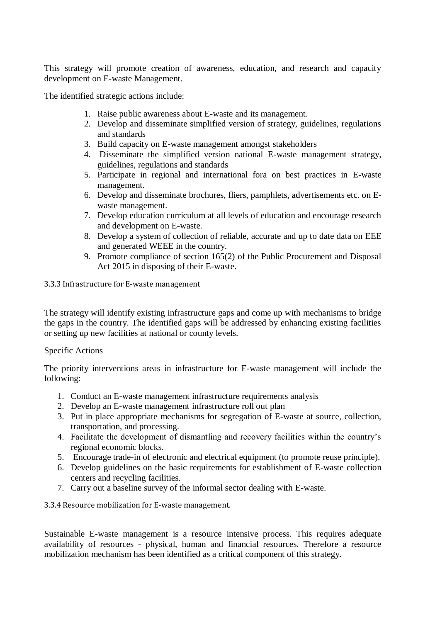This strategy will promote creation of awareness, education, and research and capacity development on E-waste Management.

The identified strategic actions include:

- 1. Raise public awareness about E-waste and its management.
- 2. Develop and disseminate simplified version of strategy, guidelines, regulations and standards
- 3. Build capacity on E-waste management amongst stakeholders
- 4. Disseminate the simplified version national E-waste management strategy, guidelines, regulations and standards
- 5. Participate in regional and international fora on best practices in E-waste management.
- 6. Develop and disseminate brochures, fliers, pamphlets, advertisements etc. on Ewaste management.
- 7. Develop education curriculum at all levels of education and encourage research and development on E-waste.
- 8. Develop a system of collection of reliable, accurate and up to date data on EEE and generated WEEE in the country.
- 9. Promote compliance of section 165(2) of the Public Procurement and Disposal Act 2015 in disposing of their E-waste.

<span id="page-32-0"></span>3.3.3 Infrastructure for E-waste management

The strategy will identify existing infrastructure gaps and come up with mechanisms to bridge the gaps in the country. The identified gaps will be addressed by enhancing existing facilities or setting up new facilities at national or county levels.

#### Specific Actions

The priority interventions areas in infrastructure for E-waste management will include the following:

- 1. Conduct an E-waste management infrastructure requirements analysis
- 2. Develop an E-waste management infrastructure roll out plan
- 3. Put in place appropriate mechanisms for segregation of E-waste at source, collection, transportation, and processing.
- 4. Facilitate the development of dismantling and recovery facilities within the country's regional economic blocks.
- 5. Encourage trade-in of electronic and electrical equipment (to promote reuse principle).
- <span id="page-32-1"></span>6. Develop guidelines on the basic requirements for establishment of E-waste collection centers and recycling facilities.
- 7. Carry out a baseline survey of the informal sector dealing with E-waste.

3.3.4 Resource mobilization for E-waste management.

Sustainable E-waste management is a resource intensive process. This requires adequate availability of resources - physical, human and financial resources. Therefore a resource mobilization mechanism has been identified as a critical component of this strategy.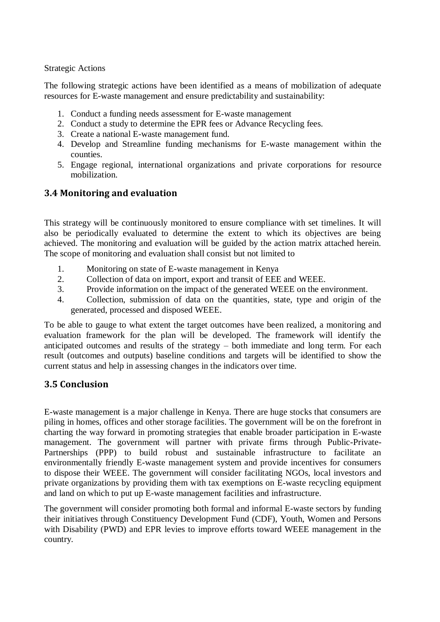Strategic Actions

The following strategic actions have been identified as a means of mobilization of adequate resources for E-waste management and ensure predictability and sustainability:

- 1. Conduct a funding needs assessment for E-waste management
- 2. Conduct a study to determine the EPR fees or Advance Recycling fees.
- 3. Create a national E-waste management fund.
- 4. Develop and Streamline funding mechanisms for E-waste management within the counties.
- <span id="page-33-0"></span>5. Engage regional, international organizations and private corporations for resource mobilization.

## **3.4 Monitoring and evaluation**

This strategy will be continuously monitored to ensure compliance with set timelines. It will also be periodically evaluated to determine the extent to which its objectives are being achieved. The monitoring and evaluation will be guided by the action matrix attached herein. The scope of monitoring and evaluation shall consist but not limited to

- 1. Monitoring on state of E-waste management in Kenya
- 2. Collection of data on import, export and transit of EEE and WEEE.
- 3. Provide information on the impact of the generated WEEE on the environment.
- 4. Collection, submission of data on the quantities, state, type and origin of the generated, processed and disposed WEEE.

<span id="page-33-1"></span>To be able to gauge to what extent the target outcomes have been realized, a monitoring and evaluation framework for the plan will be developed. The framework will identify the anticipated outcomes and results of the strategy – both immediate and long term. For each result (outcomes and outputs) baseline conditions and targets will be identified to show the current status and help in assessing changes in the indicators over time.

## **3.5 Conclusion**

E-waste management is a major challenge in Kenya. There are huge stocks that consumers are piling in homes, offices and other storage facilities. The government will be on the forefront in charting the way forward in promoting strategies that enable broader participation in E-waste management. The government will partner with private firms through Public-Private-Partnerships (PPP) to build robust and sustainable infrastructure to facilitate an environmentally friendly E-waste management system and provide incentives for consumers to dispose their WEEE. The government will consider facilitating NGOs, local investors and private organizations by providing them with tax exemptions on E-waste recycling equipment and land on which to put up E-waste management facilities and infrastructure.

The government will consider promoting both formal and informal E-waste sectors by funding their initiatives through Constituency Development Fund (CDF), Youth, Women and Persons with Disability (PWD) and EPR levies to improve efforts toward WEEE management in the country.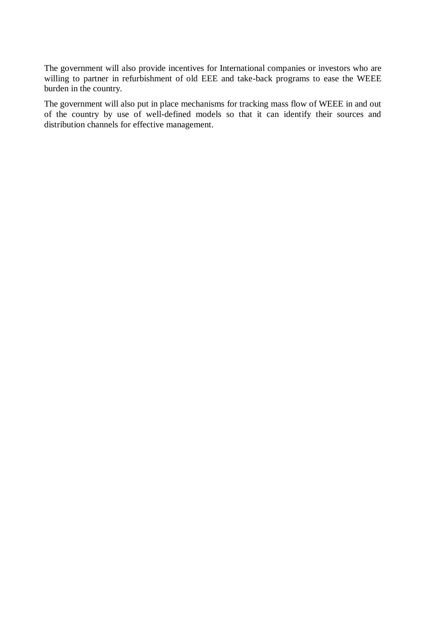The government will also provide incentives for International companies or investors who are willing to partner in refurbishment of old EEE and take-back programs to ease the WEEE burden in the country.

The government will also put in place mechanisms for tracking mass flow of WEEE in and out of the country by use of well-defined models so that it can identify their sources and distribution channels for effective management.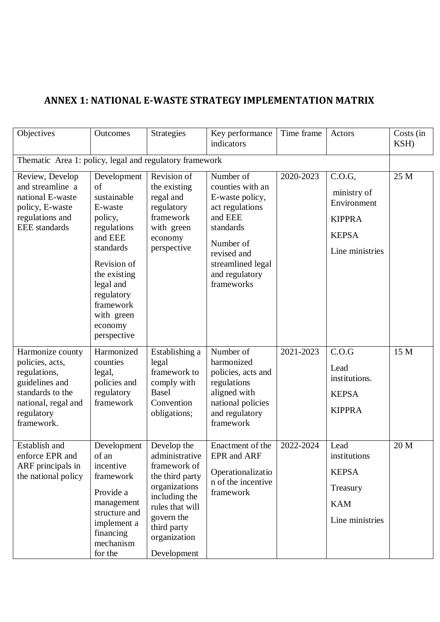## **ANNEX 1: NATIONAL E-WASTE STRATEGY IMPLEMENTATION MATRIX**

| Objectives                                                                                                                                   | Outcomes                                                                                                                                                                                                     | <b>Strategies</b>                                                                                                                                                                 | Key performance<br>indicators                                                                                                                                                | Time frame | Actors                                                                                   | Costs (in<br>KSH) |
|----------------------------------------------------------------------------------------------------------------------------------------------|--------------------------------------------------------------------------------------------------------------------------------------------------------------------------------------------------------------|-----------------------------------------------------------------------------------------------------------------------------------------------------------------------------------|------------------------------------------------------------------------------------------------------------------------------------------------------------------------------|------------|------------------------------------------------------------------------------------------|-------------------|
| Thematic Area 1: policy, legal and regulatory framework                                                                                      |                                                                                                                                                                                                              |                                                                                                                                                                                   |                                                                                                                                                                              |            |                                                                                          |                   |
| Review, Develop<br>and streamline a<br>national E-waste<br>policy, E-waste<br>regulations and<br><b>EEE</b> standards                        | Development<br>of<br>sustainable<br>E-waste<br>policy,<br>regulations<br>and EEE<br>standards<br>Revision of<br>the existing<br>legal and<br>regulatory<br>framework<br>with green<br>economy<br>perspective | Revision of<br>the existing<br>regal and<br>regulatory<br>framework<br>with green<br>economy<br>perspective                                                                       | Number of<br>counties with an<br>E-waste policy,<br>act regulations<br>and EEE<br>standards<br>Number of<br>revised and<br>streamlined legal<br>and regulatory<br>frameworks | 2020-2023  | C.O.G,<br>ministry of<br>Environment<br><b>KIPPRA</b><br><b>KEPSA</b><br>Line ministries | 25 M              |
| Harmonize county<br>policies, acts,<br>regulations,<br>guidelines and<br>standards to the<br>national, regal and<br>regulatory<br>framework. | Harmonized<br>counties<br>legal,<br>policies and<br>regulatory<br>framework                                                                                                                                  | Establishing a<br>legal<br>framework to<br>comply with<br><b>Basel</b><br>Convention<br>obligations;                                                                              | Number of<br>harmonized<br>policies, acts and<br>regulations<br>aligned with<br>national policies<br>and regulatory<br>framework                                             | 2021-2023  | C.O.G<br>Lead<br>institutions.<br><b>KEPSA</b><br><b>KIPPRA</b>                          | 15 M              |
| Establish and<br>enforce EPR and<br>ARF principals in<br>the national policy                                                                 | Development<br>of an<br>incentive<br>framework<br>Provide a<br>management<br>structure and<br>implement a<br>financing<br>mechanism<br>for the                                                               | Develop the<br>administrative<br>framework of<br>the third party<br>organizations<br>including the<br>rules that will<br>govern the<br>third party<br>organization<br>Development | Enactment of the<br>EPR and ARF<br>Operationalizatio<br>n of the incentive<br>framework                                                                                      | 2022-2024  | Lead<br>institutions<br><b>KEPSA</b><br>Treasury<br><b>KAM</b><br>Line ministries        | 20 M              |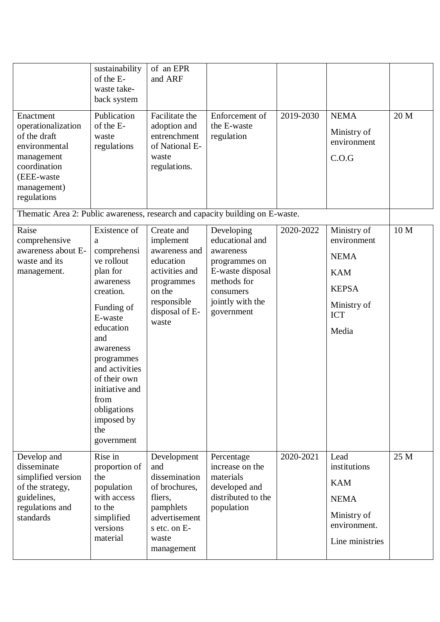|                                                                                                                                            | sustainability<br>of the E-<br>waste take-<br>back system                                                                                                                                                                                                                  | of an EPR<br>and ARF                                                                                                                      |                                                                                                                                               |           |                                                                                                               |      |
|--------------------------------------------------------------------------------------------------------------------------------------------|----------------------------------------------------------------------------------------------------------------------------------------------------------------------------------------------------------------------------------------------------------------------------|-------------------------------------------------------------------------------------------------------------------------------------------|-----------------------------------------------------------------------------------------------------------------------------------------------|-----------|---------------------------------------------------------------------------------------------------------------|------|
| Enactment<br>operationalization<br>of the draft<br>environmental<br>management<br>coordination<br>(EEE-waste<br>management)<br>regulations | Publication<br>of the E-<br>waste<br>regulations                                                                                                                                                                                                                           | Facilitate the<br>adoption and<br>entrenchment<br>of National E-<br>waste<br>regulations.                                                 | Enforcement of<br>the E-waste<br>regulation                                                                                                   | 2019-2030 | <b>NEMA</b><br>Ministry of<br>environment<br>C.O.G                                                            | 20 M |
| Thematic Area 2: Public awareness, research and capacity building on E-waste.                                                              |                                                                                                                                                                                                                                                                            |                                                                                                                                           |                                                                                                                                               |           |                                                                                                               |      |
| Raise<br>comprehensive<br>awareness about E-<br>waste and its<br>management.                                                               | Existence of<br>a<br>comprehensi<br>ve rollout<br>plan for<br>awareness<br>creation.<br>Funding of<br>E-waste<br>education<br>and<br>awareness<br>programmes<br>and activities<br>of their own<br>initiative and<br>from<br>obligations<br>imposed by<br>the<br>government | Create and<br>implement<br>awareness and<br>education<br>activities and<br>programmes<br>on the<br>responsible<br>disposal of E-<br>waste | Developing<br>educational and<br>awareness<br>programmes on<br>E-waste disposal<br>methods for<br>consumers<br>jointly with the<br>government | 2020-2022 | Ministry of<br>environment<br><b>NEMA</b><br><b>KAM</b><br><b>KEPSA</b><br>Ministry of<br><b>ICT</b><br>Media | 10 M |
| Develop and<br>disseminate<br>simplified version<br>of the strategy,<br>guidelines,<br>regulations and<br>standards                        | Rise in<br>proportion of<br>the<br>population<br>with access<br>to the<br>simplified<br>versions<br>material                                                                                                                                                               | Development<br>and<br>dissemination<br>of brochures,<br>fliers,<br>pamphlets<br>advertisement<br>s etc. on E-<br>waste<br>management      | Percentage<br>increase on the<br>materials<br>developed and<br>distributed to the<br>population                                               | 2020-2021 | Lead<br>institutions<br><b>KAM</b><br><b>NEMA</b><br>Ministry of<br>environment.<br>Line ministries           | 25 M |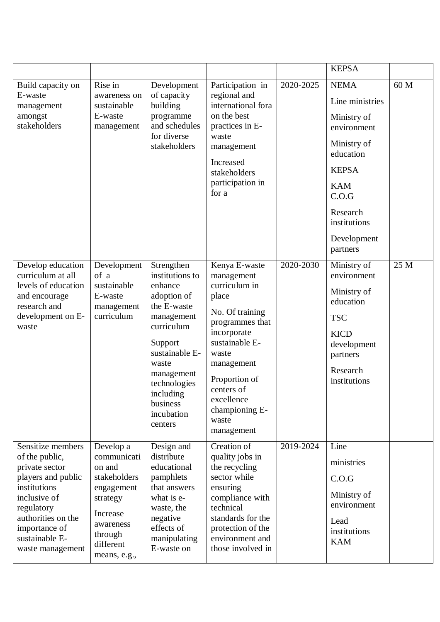|                                                                                                                                                                                                        |                                                                                                                                               |                                                                                                                                                                                                                          |                                                                                                                                                                                                                                           |           | <b>KEPSA</b>                                                                                                                                                                           |      |
|--------------------------------------------------------------------------------------------------------------------------------------------------------------------------------------------------------|-----------------------------------------------------------------------------------------------------------------------------------------------|--------------------------------------------------------------------------------------------------------------------------------------------------------------------------------------------------------------------------|-------------------------------------------------------------------------------------------------------------------------------------------------------------------------------------------------------------------------------------------|-----------|----------------------------------------------------------------------------------------------------------------------------------------------------------------------------------------|------|
| Build capacity on<br>E-waste<br>management<br>amongst<br>stakeholders                                                                                                                                  | Rise in<br>awareness on<br>sustainable<br>E-waste<br>management                                                                               | Development<br>of capacity<br>building<br>programme<br>and schedules<br>for diverse<br>stakeholders                                                                                                                      | Participation in<br>regional and<br>international fora<br>on the best<br>practices in E-<br>waste<br>management<br>Increased<br>stakeholders<br>participation in<br>for a                                                                 | 2020-2025 | <b>NEMA</b><br>Line ministries<br>Ministry of<br>environment<br>Ministry of<br>education<br><b>KEPSA</b><br><b>KAM</b><br>C.O.G<br>Research<br>institutions<br>Development<br>partners | 60 M |
| Develop education<br>curriculum at all<br>levels of education<br>and encourage<br>research and<br>development on E-<br>waste                                                                           | Development<br>of a<br>sustainable<br>E-waste<br>management<br>curriculum                                                                     | Strengthen<br>institutions to<br>enhance<br>adoption of<br>the E-waste<br>management<br>curriculum<br>Support<br>sustainable E-<br>waste<br>management<br>technologies<br>including<br>business<br>incubation<br>centers | Kenya E-waste<br>management<br>curriculum in<br>place<br>No. Of training<br>programmes that<br>incorporate<br>sustainable E-<br>waste<br>management<br>Proportion of<br>centers of<br>excellence<br>championing E-<br>waste<br>management | 2020-2030 | Ministry of<br>environment<br>Ministry of<br>education<br><b>TSC</b><br><b>KICD</b><br>development<br>partners<br>Research<br>institutions                                             | 25 M |
| Sensitize members<br>of the public,<br>private sector<br>players and public<br>institutions<br>inclusive of<br>regulatory<br>authorities on the<br>importance of<br>sustainable E-<br>waste management | Develop a<br>communicati<br>on and<br>stakeholders<br>engagement<br>strategy<br>Increase<br>awareness<br>through<br>different<br>means, e.g., | Design and<br>distribute<br>educational<br>pamphlets<br>that answers<br>what is e-<br>waste, the<br>negative<br>effects of<br>manipulating<br>E-waste on                                                                 | Creation of<br>quality jobs in<br>the recycling<br>sector while<br>ensuring<br>compliance with<br>technical<br>standards for the<br>protection of the<br>environment and<br>those involved in                                             | 2019-2024 | Line<br>ministries<br>C.O.G<br>Ministry of<br>environment<br>Lead<br>institutions<br><b>KAM</b>                                                                                        |      |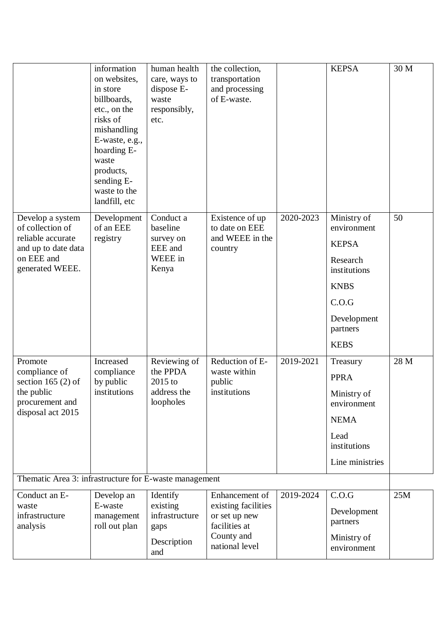|                                                                                                                   | information<br>on websites,<br>in store<br>billboards,<br>etc., on the<br>risks of<br>mishandling<br>E-waste, e.g.,<br>hoarding E-<br>waste<br>products,<br>sending E-<br>waste to the<br>landfill, etc | human health<br>care, ways to<br>dispose E-<br>waste<br>responsibly,<br>etc. | the collection,<br>transportation<br>and processing<br>of E-waste.                                      |           | <b>KEPSA</b>                                                                                                                             | 30 M |
|-------------------------------------------------------------------------------------------------------------------|---------------------------------------------------------------------------------------------------------------------------------------------------------------------------------------------------------|------------------------------------------------------------------------------|---------------------------------------------------------------------------------------------------------|-----------|------------------------------------------------------------------------------------------------------------------------------------------|------|
| Develop a system<br>of collection of<br>reliable accurate<br>and up to date data<br>on EEE and<br>generated WEEE. | Development<br>of an EEE<br>registry                                                                                                                                                                    | Conduct a<br>baseline<br>survey on<br>EEE and<br>WEEE in<br>Kenya            | Existence of up<br>to date on EEE<br>and WEEE in the<br>country                                         | 2020-2023 | Ministry of<br>environment<br><b>KEPSA</b><br>Research<br>institutions<br><b>KNBS</b><br>C.O.G<br>Development<br>partners<br><b>KEBS</b> | 50   |
| Promote<br>compliance of<br>section 165 $(2)$ of<br>the public<br>procurement and<br>disposal act 2015            | Increased<br>compliance<br>by public<br>institutions                                                                                                                                                    | Reviewing of<br>the PPDA<br>$2015$ to<br>address the<br>loopholes            | Reduction of E-<br>waste within<br>public<br>institutions                                               | 2019-2021 | Treasury<br><b>PPRA</b><br>Ministry of<br>environment<br><b>NEMA</b><br>Lead<br>institutions<br>Line ministries                          | 28 M |
| Thematic Area 3: infrastructure for E-waste management                                                            |                                                                                                                                                                                                         |                                                                              |                                                                                                         |           |                                                                                                                                          |      |
| Conduct an E-<br>waste<br>infrastructure<br>analysis                                                              | Develop an<br>E-waste<br>management<br>roll out plan                                                                                                                                                    | Identify<br>existing<br>infrastructure<br>gaps<br>Description<br>and         | Enhancement of<br>existing facilities<br>or set up new<br>facilities at<br>County and<br>national level | 2019-2024 | C.O.G<br>Development<br>partners<br>Ministry of<br>environment                                                                           | 25M  |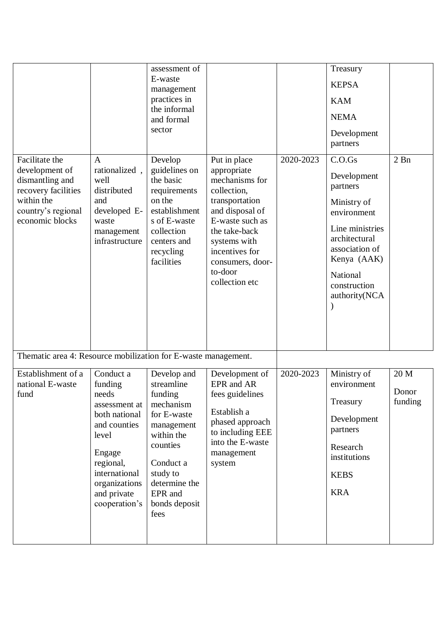|                                                                                                                                   |                                                                                                                                                                                   | assessment of<br>E-waste<br>management<br>practices in<br>the informal<br>and formal<br>sector                                                                                         |                                                                                                                                                                                                                          |           | Treasury<br><b>KEPSA</b><br><b>KAM</b><br><b>NEMA</b><br>Development<br>partners                                                                                                  |                          |
|-----------------------------------------------------------------------------------------------------------------------------------|-----------------------------------------------------------------------------------------------------------------------------------------------------------------------------------|----------------------------------------------------------------------------------------------------------------------------------------------------------------------------------------|--------------------------------------------------------------------------------------------------------------------------------------------------------------------------------------------------------------------------|-----------|-----------------------------------------------------------------------------------------------------------------------------------------------------------------------------------|--------------------------|
| Facilitate the<br>development of<br>dismantling and<br>recovery facilities<br>within the<br>country's regional<br>economic blocks | $\mathbf{A}$<br>rationalized,<br>well<br>distributed<br>and<br>developed E-<br>waste<br>management<br>infrastructure                                                              | Develop<br>guidelines on<br>the basic<br>requirements<br>on the<br>establishment<br>s of E-waste<br>collection<br>centers and<br>recycling<br>facilities                               | Put in place<br>appropriate<br>mechanisms for<br>collection,<br>transportation<br>and disposal of<br>E-waste such as<br>the take-back<br>systems with<br>incentives for<br>consumers, door-<br>to-door<br>collection etc | 2020-2023 | C.O.Gs<br>Development<br>partners<br>Ministry of<br>environment<br>Line ministries<br>architectural<br>association of<br>Kenya (AAK)<br>National<br>construction<br>authority(NCA | $2$ Bn                   |
| Thematic area 4: Resource mobilization for E-waste management.                                                                    |                                                                                                                                                                                   |                                                                                                                                                                                        |                                                                                                                                                                                                                          |           |                                                                                                                                                                                   |                          |
| Establishment of a<br>national E-waste<br>fund                                                                                    | Conduct a<br>funding<br>needs<br>assessment at<br>both national<br>and counties<br>level<br>Engage<br>regional,<br>international<br>organizations<br>and private<br>cooperation's | Develop and<br>streamline<br>funding<br>mechanism<br>for E-waste<br>management<br>within the<br>counties<br>Conduct a<br>study to<br>determine the<br>EPR and<br>bonds deposit<br>fees | Development of<br>EPR and AR<br>fees guidelines<br>Establish a<br>phased approach<br>to including EEE<br>into the E-waste<br>management<br>system                                                                        | 2020-2023 | Ministry of<br>environment<br>Treasury<br>Development<br>partners<br>Research<br>institutions<br><b>KEBS</b><br><b>KRA</b>                                                        | 20 M<br>Donor<br>funding |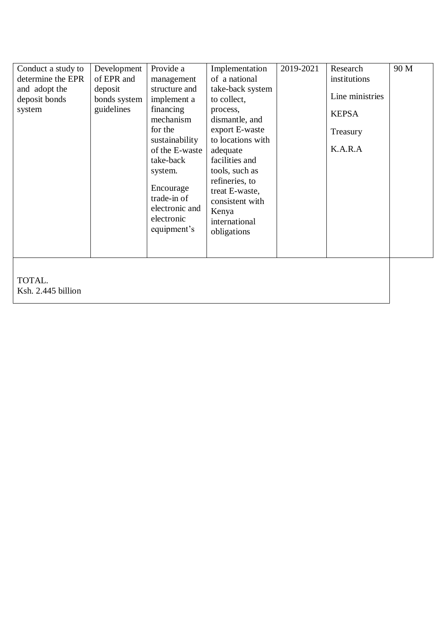| Conduct a study to<br>determine the EPR<br>and adopt the<br>deposit bonds<br>system | Development<br>of EPR and<br>deposit<br>bonds system<br>guidelines | Provide a<br>management<br>structure and<br>implement a<br>financing<br>mechanism<br>for the<br>sustainability<br>of the E-waste<br>take-back<br>system.<br>Encourage<br>trade-in of<br>electronic and<br>electronic<br>equipment's | Implementation<br>of a national<br>take-back system<br>to collect,<br>process,<br>dismantle, and<br>export E-waste<br>to locations with<br>adequate<br>facilities and<br>tools, such as<br>refineries, to<br>treat E-waste,<br>consistent with<br>Kenya<br>international<br>obligations | 2019-2021 | Research<br>institutions<br>Line ministries<br><b>KEPSA</b><br>Treasury<br>K.A.R.A | 90 M |
|-------------------------------------------------------------------------------------|--------------------------------------------------------------------|-------------------------------------------------------------------------------------------------------------------------------------------------------------------------------------------------------------------------------------|-----------------------------------------------------------------------------------------------------------------------------------------------------------------------------------------------------------------------------------------------------------------------------------------|-----------|------------------------------------------------------------------------------------|------|
| TOTAL.<br>Ksh. 2.445 billion                                                        |                                                                    |                                                                                                                                                                                                                                     |                                                                                                                                                                                                                                                                                         |           |                                                                                    |      |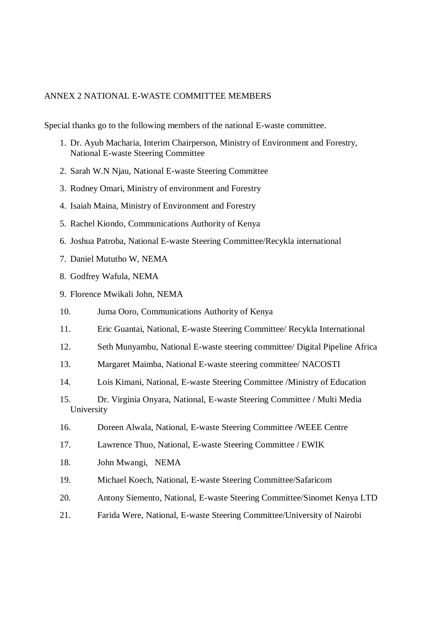#### <span id="page-41-0"></span>ANNEX 2 NATIONAL E-WASTE COMMITTEE MEMBERS

Special thanks go to the following members of the national E-waste committee.

- 1. Dr. Ayub Macharia, Interim Chairperson, Ministry of Environment and Forestry, National E-waste Steering Committee
- 2. Sarah W.N Njau, National E-waste Steering Committee
- 3. Rodney Omari, Ministry of environment and Forestry
- 4. Isaiah Maina, Ministry of Environment and Forestry
- 5. Rachel Kiondo, Communications Authority of Kenya
- 6. Joshua Patroba, National E-waste Steering Committee/Recykla international
- 7. Daniel Mututho W, NEMA
- 8. Godfrey Wafula, NEMA
- 9. Florence Mwikali John, NEMA
- 10. Juma Ooro, Communications Authority of Kenya
- 11. Eric Guantai, National, E-waste Steering Committee/ Recykla International
- 12. Seth Munyambu, National E-waste steering committee/ Digital Pipeline Africa
- 13. Margaret Maimba, National E-waste steering committee/ NACOSTI
- 14. Lois Kimani, National, E-waste Steering Committee /Ministry of Education
- 15. Dr. Virginia Onyara, National, E-waste Steering Committee / Multi Media University
- 16. Doreen Alwala, National, E-waste Steering Committee /WEEE Centre
- 17. Lawrence Thuo, National, E-waste Steering Committee / EWIK
- 18. John Mwangi, NEMA
- 19. Michael Koech, National, E-waste Steering Committee/Safaricom
- 20. Antony Siemento, National, E-waste Steering Committee/Sinomet Kenya LTD
- 21. Farida Were, National, E-waste Steering Committee/University of Nairobi